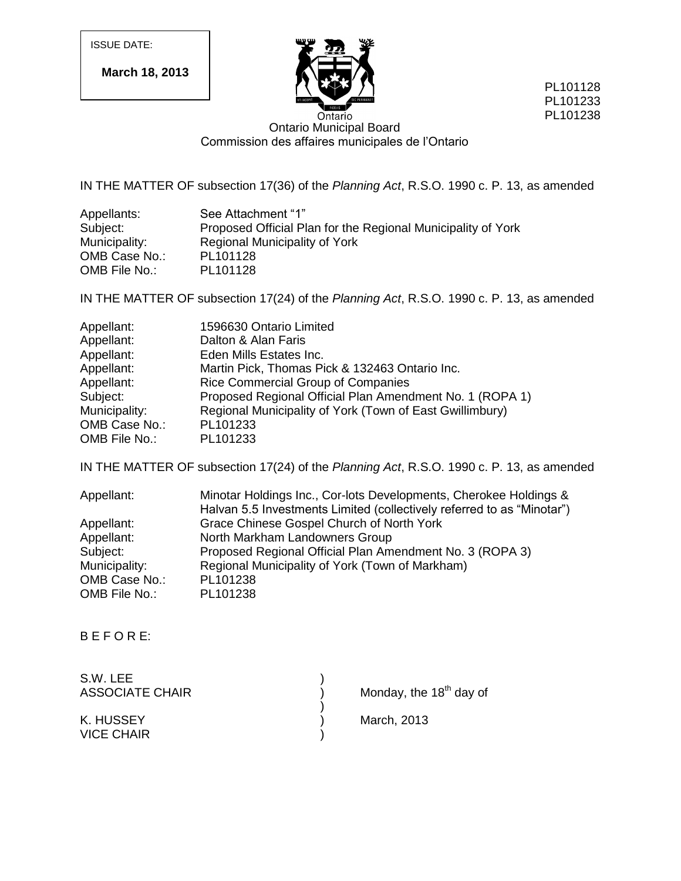ISSUE DATE:

**March 18, 2013**



PL101128 PL101233 PL101238

Ontario Ontario Municipal Board Commission des affaires municipales de l'Ontario

IN THE MATTER OF subsection 17(36) of the *Planning Act*, R.S.O. 1990 c. P. 13, as amended

| Appellants:   | See Attachment "1"                                           |
|---------------|--------------------------------------------------------------|
| Subject:      | Proposed Official Plan for the Regional Municipality of York |
| Municipality: | Regional Municipality of York                                |
| OMB Case No.: | PL101128                                                     |
| OMB File No.: | PL101128                                                     |

IN THE MATTER OF subsection 17(24) of the *Planning Act*, R.S.O. 1990 c. P. 13, as amended

| Appellant:    | 1596630 Ontario Limited                                  |
|---------------|----------------------------------------------------------|
| Appellant:    | Dalton & Alan Faris                                      |
| Appellant:    | Eden Mills Estates Inc.                                  |
| Appellant:    | Martin Pick, Thomas Pick & 132463 Ontario Inc.           |
| Appellant:    | Rice Commercial Group of Companies                       |
| Subject:      | Proposed Regional Official Plan Amendment No. 1 (ROPA 1) |
| Municipality: | Regional Municipality of York (Town of East Gwillimbury) |
| OMB Case No.: | PL101233                                                 |
| OMB File No.: | PL101233                                                 |

IN THE MATTER OF subsection 17(24) of the *Planning Act*, R.S.O. 1990 c. P. 13, as amended

| Minotar Holdings Inc., Cor-lots Developments, Cherokee Holdings &      |
|------------------------------------------------------------------------|
| Halvan 5.5 Investments Limited (collectively referred to as "Minotar") |
| Grace Chinese Gospel Church of North York                              |
| North Markham Landowners Group                                         |
| Proposed Regional Official Plan Amendment No. 3 (ROPA 3)               |
| Regional Municipality of York (Town of Markham)                        |
| PL101238                                                               |
| PL101238                                                               |
|                                                                        |

B E F O R E:

| S.W. LEE               |                           |  |
|------------------------|---------------------------|--|
| <b>ASSOCIATE CHAIR</b> | Monday, the $18th$ day of |  |
|                        |                           |  |
| K. HUSSEY              | March, 2013               |  |
| <b>VICE CHAIR</b>      |                           |  |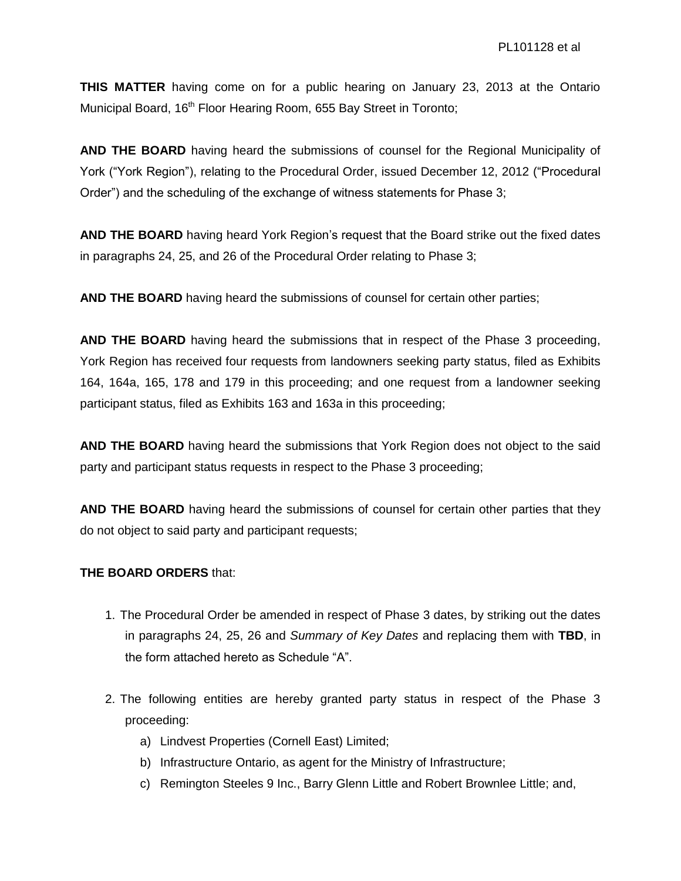**THIS MATTER** having come on for a public hearing on January 23, 2013 at the Ontario Municipal Board, 16<sup>th</sup> Floor Hearing Room, 655 Bay Street in Toronto;

**AND THE BOARD** having heard the submissions of counsel for the Regional Municipality of York ("York Region"), relating to the Procedural Order, issued December 12, 2012 ("Procedural Order") and the scheduling of the exchange of witness statements for Phase 3;

**AND THE BOARD** having heard York Region's request that the Board strike out the fixed dates in paragraphs 24, 25, and 26 of the Procedural Order relating to Phase 3;

**AND THE BOARD** having heard the submissions of counsel for certain other parties;

**AND THE BOARD** having heard the submissions that in respect of the Phase 3 proceeding, York Region has received four requests from landowners seeking party status, filed as Exhibits 164, 164a, 165, 178 and 179 in this proceeding; and one request from a landowner seeking participant status, filed as Exhibits 163 and 163a in this proceeding;

**AND THE BOARD** having heard the submissions that York Region does not object to the said party and participant status requests in respect to the Phase 3 proceeding;

**AND THE BOARD** having heard the submissions of counsel for certain other parties that they do not object to said party and participant requests;

#### **THE BOARD ORDERS** that:

- 1. The Procedural Order be amended in respect of Phase 3 dates, by striking out the dates in paragraphs 24, 25, 26 and *Summary of Key Dates* and replacing them with **TBD**, in the form attached hereto as Schedule "A".
- 2. The following entities are hereby granted party status in respect of the Phase 3 proceeding:
	- a) Lindvest Properties (Cornell East) Limited;
	- b) Infrastructure Ontario, as agent for the Ministry of Infrastructure;
	- c) Remington Steeles 9 Inc., Barry Glenn Little and Robert Brownlee Little; and,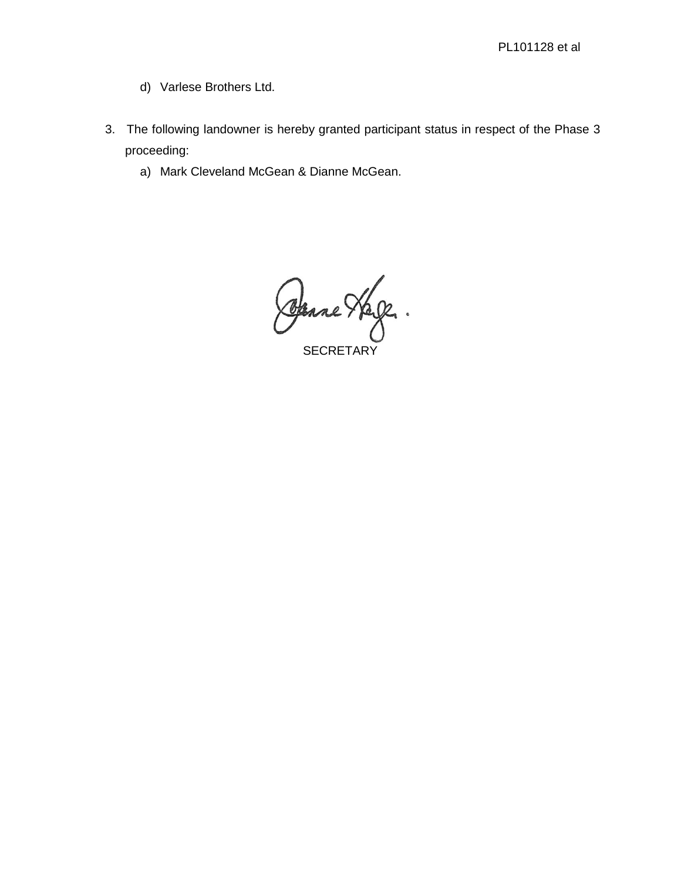- d) Varlese Brothers Ltd.
- 3. The following landowner is hereby granted participant status in respect of the Phase 3 proceeding:
	- a) Mark Cleveland McGean & Dianne McGean.

Osane Hele.

**SECRETARY**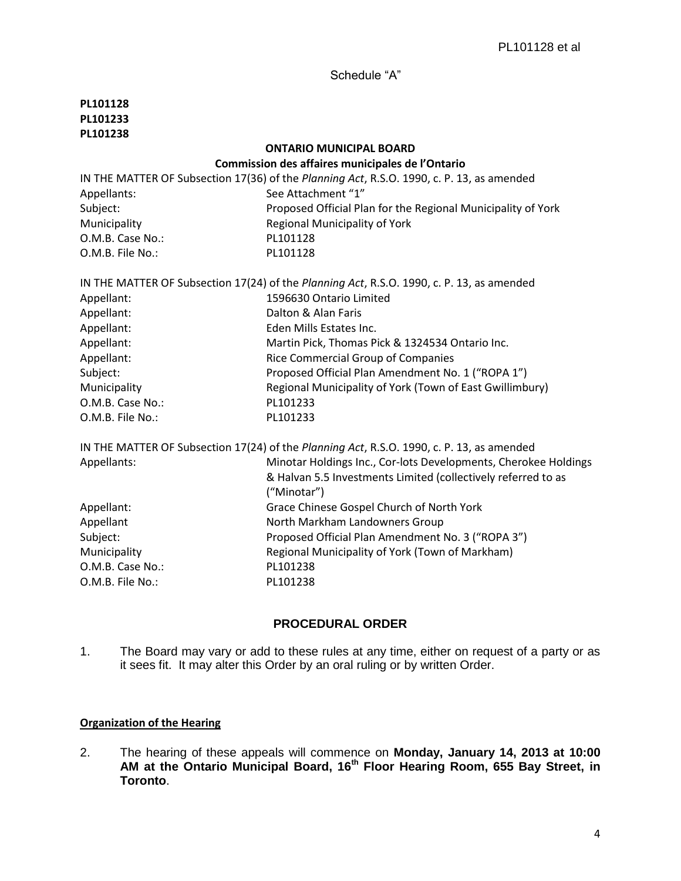Schedule "A"

| PL101128         |                                                                                           |
|------------------|-------------------------------------------------------------------------------------------|
| PL101233         |                                                                                           |
| PL101238         |                                                                                           |
|                  | <b>ONTARIO MUNICIPAL BOARD</b>                                                            |
|                  | Commission des affaires municipales de l'Ontario                                          |
|                  | IN THE MATTER OF Subsection 17(36) of the Planning Act, R.S.O. 1990, c. P. 13, as amended |
| Appellants:      | See Attachment "1"                                                                        |
| Subject:         | Proposed Official Plan for the Regional Municipality of York                              |
| Municipality     | <b>Regional Municipality of York</b>                                                      |
| O.M.B. Case No.: | PL101128                                                                                  |
| O.M.B. File No.: | PL101128                                                                                  |
|                  | IN THE MATTER OF Subsection 17(24) of the Planning Act, R.S.O. 1990, c. P. 13, as amended |
| Appellant:       | 1596630 Ontario Limited                                                                   |
| Appellant:       | Dalton & Alan Faris                                                                       |
| Appellant:       | Eden Mills Estates Inc.                                                                   |
| Appellant:       | Martin Pick, Thomas Pick & 1324534 Ontario Inc.                                           |
| Appellant:       | <b>Rice Commercial Group of Companies</b>                                                 |
| Subject:         | Proposed Official Plan Amendment No. 1 ("ROPA 1")                                         |
| Municipality     | Regional Municipality of York (Town of East Gwillimbury)                                  |
| O.M.B. Case No.: | PL101233                                                                                  |
| O.M.B. File No.: | PL101233                                                                                  |
|                  | IN THE MATTER OF Subsection 17(24) of the Planning Act, R.S.O. 1990, c. P. 13, as amended |
| Appellants:      | Minotar Holdings Inc., Cor-lots Developments, Cherokee Holdings                           |
|                  | & Halvan 5.5 Investments Limited (collectively referred to as                             |
|                  | ("Minotar")                                                                               |
| Appellant:       | Grace Chinese Gospel Church of North York                                                 |
| Appellant        | North Markham Landowners Group                                                            |
| Subject:         | Proposed Official Plan Amendment No. 3 ("ROPA 3")                                         |
| Municipality     | Regional Municipality of York (Town of Markham)                                           |
| O.M.B. Case No.: | PL101238                                                                                  |
| O.M.B. File No.: | PL101238                                                                                  |
|                  |                                                                                           |

## **PROCEDURAL ORDER**

1. The Board may vary or add to these rules at any time, either on request of a party or as it sees fit. It may alter this Order by an oral ruling or by written Order.

## **Organization of the Hearing**

2. The hearing of these appeals will commence on **Monday, January 14, 2013 at 10:00 AM at the Ontario Municipal Board, 16th Floor Hearing Room, 655 Bay Street, in Toronto**.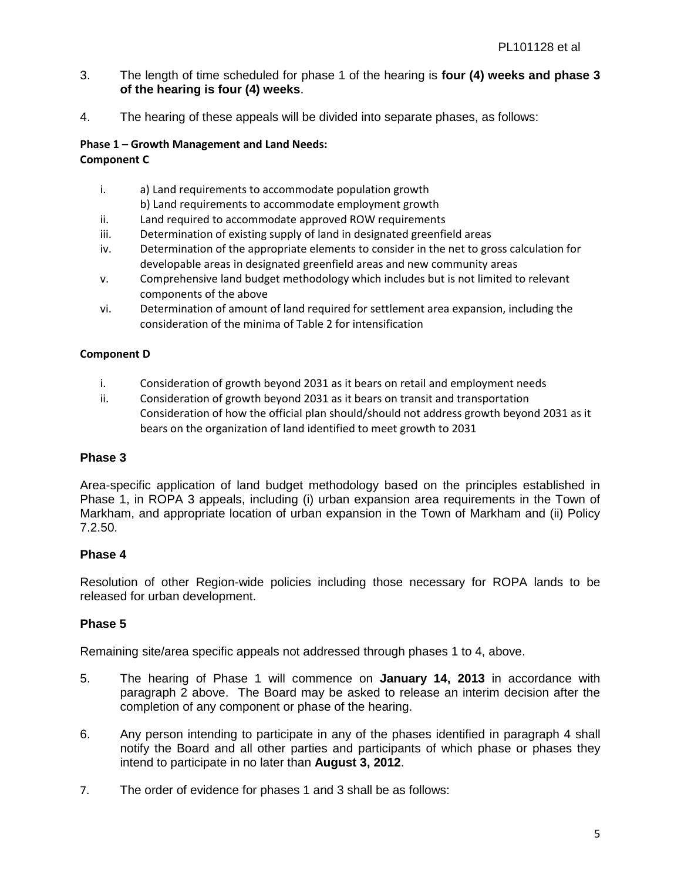- 3. The length of time scheduled for phase 1 of the hearing is **four (4) weeks and phase 3 of the hearing is four (4) weeks**.
- 4. The hearing of these appeals will be divided into separate phases, as follows:

#### **Phase 1 – Growth Management and Land Needs: Component C**

- i. a) Land requirements to accommodate population growth b) Land requirements to accommodate employment growth
- ii. Land required to accommodate approved ROW requirements
- iii. Determination of existing supply of land in designated greenfield areas
- iv. Determination of the appropriate elements to consider in the net to gross calculation for developable areas in designated greenfield areas and new community areas
- v. Comprehensive land budget methodology which includes but is not limited to relevant components of the above
- vi. Determination of amount of land required for settlement area expansion, including the consideration of the minima of Table 2 for intensification

#### **Component D**

- i. Consideration of growth beyond 2031 as it bears on retail and employment needs
- ii. Consideration of growth beyond 2031 as it bears on transit and transportation Consideration of how the official plan should/should not address growth beyond 2031 as it bears on the organization of land identified to meet growth to 2031

## **Phase 3**

Area-specific application of land budget methodology based on the principles established in Phase 1, in ROPA 3 appeals, including (i) urban expansion area requirements in the Town of Markham, and appropriate location of urban expansion in the Town of Markham and (ii) Policy 7.2.50.

## **Phase 4**

Resolution of other Region-wide policies including those necessary for ROPA lands to be released for urban development.

## **Phase 5**

Remaining site/area specific appeals not addressed through phases 1 to 4, above.

- 5. The hearing of Phase 1 will commence on **January 14, 2013** in accordance with paragraph 2 above. The Board may be asked to release an interim decision after the completion of any component or phase of the hearing.
- 6. Any person intending to participate in any of the phases identified in paragraph 4 shall notify the Board and all other parties and participants of which phase or phases they intend to participate in no later than **August 3, 2012**.
- 7. The order of evidence for phases 1 and 3 shall be as follows: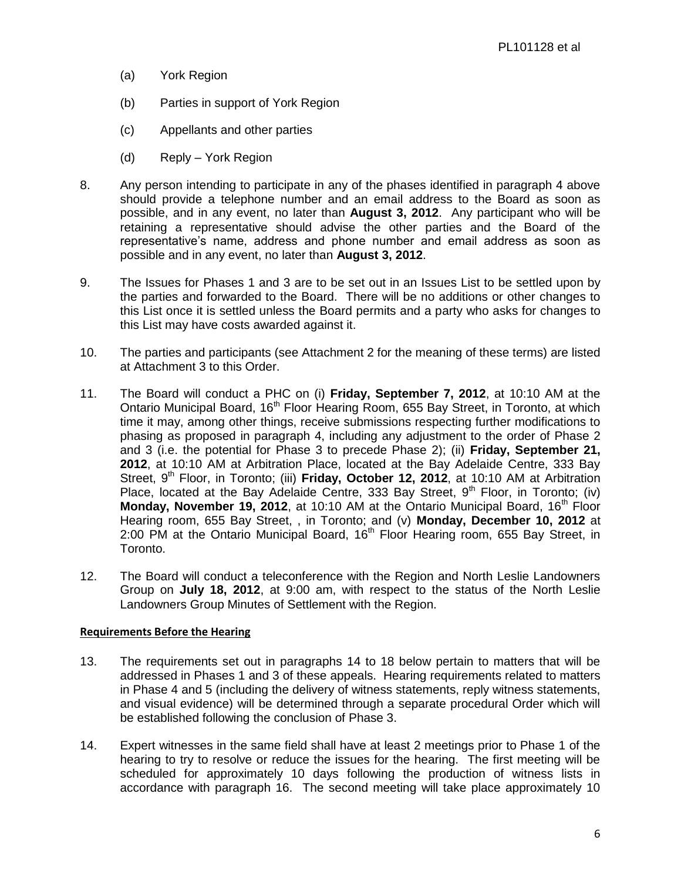- (a) York Region
- (b) Parties in support of York Region
- (c) Appellants and other parties
- (d) Reply York Region
- 8. Any person intending to participate in any of the phases identified in paragraph 4 above should provide a telephone number and an email address to the Board as soon as possible, and in any event, no later than **August 3, 2012**. Any participant who will be retaining a representative should advise the other parties and the Board of the representative's name, address and phone number and email address as soon as possible and in any event, no later than **August 3, 2012**.
- 9. The Issues for Phases 1 and 3 are to be set out in an Issues List to be settled upon by the parties and forwarded to the Board. There will be no additions or other changes to this List once it is settled unless the Board permits and a party who asks for changes to this List may have costs awarded against it.
- 10. The parties and participants (see Attachment 2 for the meaning of these terms) are listed at Attachment 3 to this Order.
- 11. The Board will conduct a PHC on (i) **Friday, September 7, 2012**, at 10:10 AM at the Ontario Municipal Board, 16<sup>th</sup> Floor Hearing Room, 655 Bay Street, in Toronto, at which time it may, among other things, receive submissions respecting further modifications to phasing as proposed in paragraph 4, including any adjustment to the order of Phase 2 and 3 (i.e. the potential for Phase 3 to precede Phase 2); (ii) **Friday, September 21, 2012**, at 10:10 AM at Arbitration Place, located at the Bay Adelaide Centre, 333 Bay Street, 9<sup>th</sup> Floor, in Toronto; (iii) **Friday, October 12, 2012**, at 10:10 AM at Arbitration Place, located at the Bay Adelaide Centre, 333 Bay Street,  $9<sup>th</sup>$  Floor, in Toronto; (iv) **Monday, November 19, 2012**, at 10:10 AM at the Ontario Municipal Board, 16<sup>th</sup> Floor Hearing room, 655 Bay Street, , in Toronto; and (v) **Monday, December 10, 2012** at 2:00 PM at the Ontario Municipal Board,  $16<sup>th</sup>$  Floor Hearing room, 655 Bay Street, in Toronto.
- 12. The Board will conduct a teleconference with the Region and North Leslie Landowners Group on **July 18, 2012**, at 9:00 am, with respect to the status of the North Leslie Landowners Group Minutes of Settlement with the Region.

#### **Requirements Before the Hearing**

- 13. The requirements set out in paragraphs 14 to 18 below pertain to matters that will be addressed in Phases 1 and 3 of these appeals. Hearing requirements related to matters in Phase 4 and 5 (including the delivery of witness statements, reply witness statements, and visual evidence) will be determined through a separate procedural Order which will be established following the conclusion of Phase 3.
- 14. Expert witnesses in the same field shall have at least 2 meetings prior to Phase 1 of the hearing to try to resolve or reduce the issues for the hearing. The first meeting will be scheduled for approximately 10 days following the production of witness lists in accordance with paragraph 16. The second meeting will take place approximately 10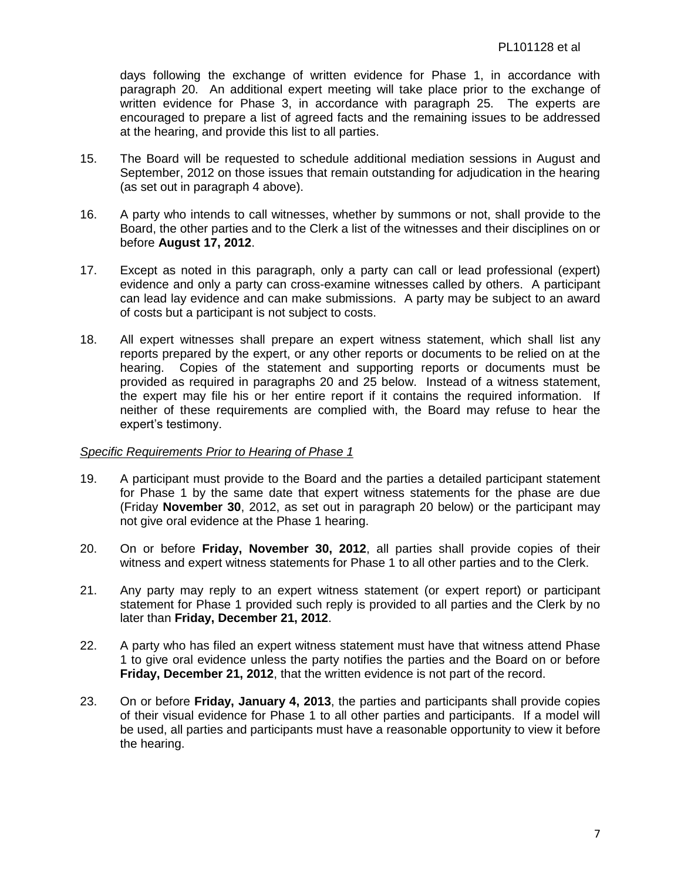days following the exchange of written evidence for Phase 1, in accordance with paragraph 20. An additional expert meeting will take place prior to the exchange of written evidence for Phase 3, in accordance with paragraph 25. The experts are encouraged to prepare a list of agreed facts and the remaining issues to be addressed at the hearing, and provide this list to all parties.

- 15. The Board will be requested to schedule additional mediation sessions in August and September, 2012 on those issues that remain outstanding for adjudication in the hearing (as set out in paragraph 4 above).
- 16. A party who intends to call witnesses, whether by summons or not, shall provide to the Board, the other parties and to the Clerk a list of the witnesses and their disciplines on or before **August 17, 2012**.
- 17. Except as noted in this paragraph, only a party can call or lead professional (expert) evidence and only a party can cross-examine witnesses called by others. A participant can lead lay evidence and can make submissions. A party may be subject to an award of costs but a participant is not subject to costs.
- 18. All expert witnesses shall prepare an expert witness statement, which shall list any reports prepared by the expert, or any other reports or documents to be relied on at the hearing. Copies of the statement and supporting reports or documents must be provided as required in paragraphs 20 and 25 below. Instead of a witness statement, the expert may file his or her entire report if it contains the required information. If neither of these requirements are complied with, the Board may refuse to hear the expert's testimony.

#### *Specific Requirements Prior to Hearing of Phase 1*

- 19. A participant must provide to the Board and the parties a detailed participant statement for Phase 1 by the same date that expert witness statements for the phase are due (Friday **November 30**, 2012, as set out in paragraph 20 below) or the participant may not give oral evidence at the Phase 1 hearing.
- 20. On or before **Friday, November 30, 2012**, all parties shall provide copies of their witness and expert witness statements for Phase 1 to all other parties and to the Clerk.
- 21. Any party may reply to an expert witness statement (or expert report) or participant statement for Phase 1 provided such reply is provided to all parties and the Clerk by no later than **Friday, December 21, 2012**.
- 22. A party who has filed an expert witness statement must have that witness attend Phase 1 to give oral evidence unless the party notifies the parties and the Board on or before **Friday, December 21, 2012**, that the written evidence is not part of the record.
- 23. On or before **Friday, January 4, 2013**, the parties and participants shall provide copies of their visual evidence for Phase 1 to all other parties and participants. If a model will be used, all parties and participants must have a reasonable opportunity to view it before the hearing.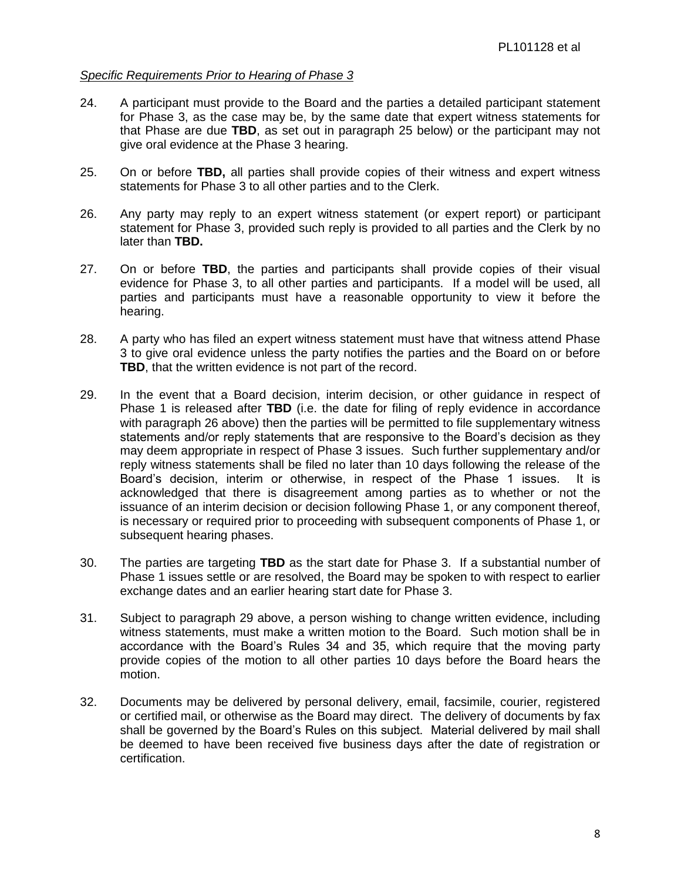#### *Specific Requirements Prior to Hearing of Phase 3*

- 24. A participant must provide to the Board and the parties a detailed participant statement for Phase 3, as the case may be, by the same date that expert witness statements for that Phase are due **TBD**, as set out in paragraph 25 below) or the participant may not give oral evidence at the Phase 3 hearing.
- 25. On or before **TBD,** all parties shall provide copies of their witness and expert witness statements for Phase 3 to all other parties and to the Clerk.
- 26. Any party may reply to an expert witness statement (or expert report) or participant statement for Phase 3, provided such reply is provided to all parties and the Clerk by no later than **TBD.**
- 27. On or before **TBD**, the parties and participants shall provide copies of their visual evidence for Phase 3, to all other parties and participants. If a model will be used, all parties and participants must have a reasonable opportunity to view it before the hearing.
- 28. A party who has filed an expert witness statement must have that witness attend Phase 3 to give oral evidence unless the party notifies the parties and the Board on or before **TBD**, that the written evidence is not part of the record.
- 29. In the event that a Board decision, interim decision, or other guidance in respect of Phase 1 is released after **TBD** (i.e. the date for filing of reply evidence in accordance with paragraph 26 above) then the parties will be permitted to file supplementary witness statements and/or reply statements that are responsive to the Board's decision as they may deem appropriate in respect of Phase 3 issues. Such further supplementary and/or reply witness statements shall be filed no later than 10 days following the release of the Board's decision, interim or otherwise, in respect of the Phase 1 issues. It is acknowledged that there is disagreement among parties as to whether or not the issuance of an interim decision or decision following Phase 1, or any component thereof, is necessary or required prior to proceeding with subsequent components of Phase 1, or subsequent hearing phases.
- 30. The parties are targeting **TBD** as the start date for Phase 3. If a substantial number of Phase 1 issues settle or are resolved, the Board may be spoken to with respect to earlier exchange dates and an earlier hearing start date for Phase 3.
- 31. Subject to paragraph 29 above, a person wishing to change written evidence, including witness statements, must make a written motion to the Board. Such motion shall be in accordance with the Board's Rules 34 and 35, which require that the moving party provide copies of the motion to all other parties 10 days before the Board hears the motion.
- 32. Documents may be delivered by personal delivery, email, facsimile, courier, registered or certified mail, or otherwise as the Board may direct. The delivery of documents by fax shall be governed by the Board's Rules on this subject. Material delivered by mail shall be deemed to have been received five business days after the date of registration or certification.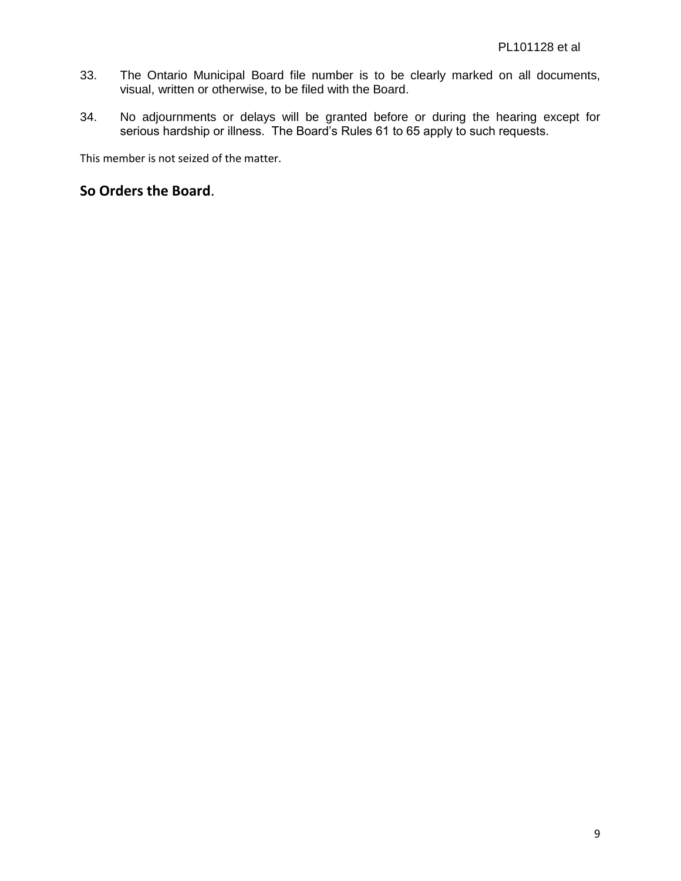- 33. The Ontario Municipal Board file number is to be clearly marked on all documents, visual, written or otherwise, to be filed with the Board.
- 34. No adjournments or delays will be granted before or during the hearing except for serious hardship or illness. The Board's Rules 61 to 65 apply to such requests.

This member is not seized of the matter.

## **So Orders the Board**.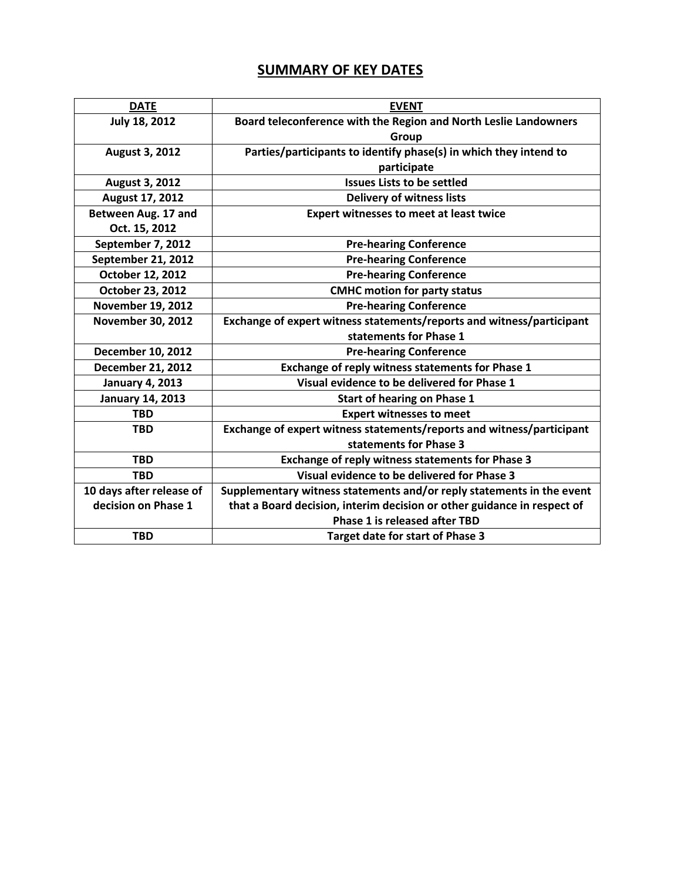## **SUMMARY OF KEY DATES**

| <b>DATE</b>              | <b>EVENT</b>                                                            |
|--------------------------|-------------------------------------------------------------------------|
| July 18, 2012            | Board teleconference with the Region and North Leslie Landowners        |
|                          | Group                                                                   |
| <b>August 3, 2012</b>    | Parties/participants to identify phase(s) in which they intend to       |
|                          | participate                                                             |
| <b>August 3, 2012</b>    | <b>Issues Lists to be settled</b>                                       |
| August 17, 2012          | <b>Delivery of witness lists</b>                                        |
| Between Aug. 17 and      | <b>Expert witnesses to meet at least twice</b>                          |
| Oct. 15, 2012            |                                                                         |
| September 7, 2012        | <b>Pre-hearing Conference</b>                                           |
| September 21, 2012       | <b>Pre-hearing Conference</b>                                           |
| October 12, 2012         | <b>Pre-hearing Conference</b>                                           |
| October 23, 2012         | <b>CMHC motion for party status</b>                                     |
| <b>November 19, 2012</b> | <b>Pre-hearing Conference</b>                                           |
| <b>November 30, 2012</b> | Exchange of expert witness statements/reports and witness/participant   |
|                          | statements for Phase 1                                                  |
| <b>December 10, 2012</b> | <b>Pre-hearing Conference</b>                                           |
| <b>December 21, 2012</b> | Exchange of reply witness statements for Phase 1                        |
| <b>January 4, 2013</b>   | Visual evidence to be delivered for Phase 1                             |
| <b>January 14, 2013</b>  | <b>Start of hearing on Phase 1</b>                                      |
| <b>TBD</b>               | <b>Expert witnesses to meet</b>                                         |
| <b>TBD</b>               | Exchange of expert witness statements/reports and witness/participant   |
|                          | statements for Phase 3                                                  |
| <b>TBD</b>               | Exchange of reply witness statements for Phase 3                        |
| <b>TBD</b>               | Visual evidence to be delivered for Phase 3                             |
| 10 days after release of | Supplementary witness statements and/or reply statements in the event   |
| decision on Phase 1      | that a Board decision, interim decision or other guidance in respect of |
|                          | <b>Phase 1 is released after TBD</b>                                    |
| <b>TBD</b>               | <b>Target date for start of Phase 3</b>                                 |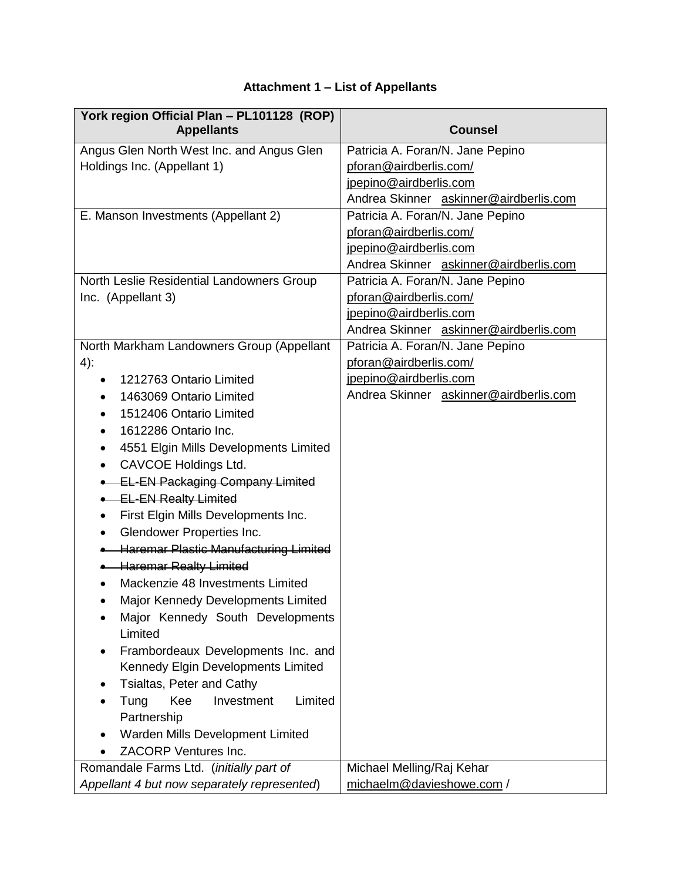# **Attachment 1 – List of Appellants**

| York region Official Plan - PL101128 (ROP)<br><b>Appellants</b> | <b>Counsel</b>                         |
|-----------------------------------------------------------------|----------------------------------------|
| Angus Glen North West Inc. and Angus Glen                       | Patricia A. Foran/N. Jane Pepino       |
| Holdings Inc. (Appellant 1)                                     | pforan@airdberlis.com/                 |
|                                                                 | jpepino@airdberlis.com                 |
|                                                                 | Andrea Skinner askinner@airdberlis.com |
| E. Manson Investments (Appellant 2)                             | Patricia A. Foran/N. Jane Pepino       |
|                                                                 | pforan@airdberlis.com/                 |
|                                                                 | jpepino@airdberlis.com                 |
|                                                                 | Andrea Skinner askinner@airdberlis.com |
| North Leslie Residential Landowners Group                       | Patricia A. Foran/N. Jane Pepino       |
| Inc. (Appellant 3)                                              | pforan@airdberlis.com/                 |
|                                                                 | jpepino@airdberlis.com                 |
|                                                                 | Andrea Skinner askinner@airdberlis.com |
| North Markham Landowners Group (Appellant                       | Patricia A. Foran/N. Jane Pepino       |
| $4)$ :                                                          | pforan@airdberlis.com/                 |
| 1212763 Ontario Limited                                         | jpepino@airdberlis.com                 |
| 1463069 Ontario Limited                                         | Andrea Skinner askinner@airdberlis.com |
| 1512406 Ontario Limited                                         |                                        |
| 1612286 Ontario Inc.<br>٠                                       |                                        |
| 4551 Elgin Mills Developments Limited<br>٠                      |                                        |
| CAVCOE Holdings Ltd.<br>$\bullet$                               |                                        |
| <b>EL-EN Packaging Company Limited</b>                          |                                        |
| <b>EL-EN Realty Limited</b>                                     |                                        |
| First Elgin Mills Developments Inc.<br>٠                        |                                        |
| Glendower Properties Inc.<br>$\bullet$                          |                                        |
| <b>Haremar Plastic Manufacturing Limited</b>                    |                                        |
| <b>+ Haremar Realty Limited</b>                                 |                                        |
| Mackenzie 48 Investments Limited                                |                                        |
| Major Kennedy Developments Limited                              |                                        |
| Major Kennedy South Developments                                |                                        |
| Limited                                                         |                                        |
| Frambordeaux Developments Inc. and                              |                                        |
| Kennedy Elgin Developments Limited                              |                                        |
| Tsialtas, Peter and Cathy                                       |                                        |
| Limited<br>Tung<br>Kee<br>Investment                            |                                        |
| Partnership                                                     |                                        |
| Warden Mills Development Limited                                |                                        |
| ZACORP Ventures Inc.                                            |                                        |
| Romandale Farms Ltd. (initially part of                         | Michael Melling/Raj Kehar              |
| Appellant 4 but now separately represented)                     | michaelm@davieshowe.com /              |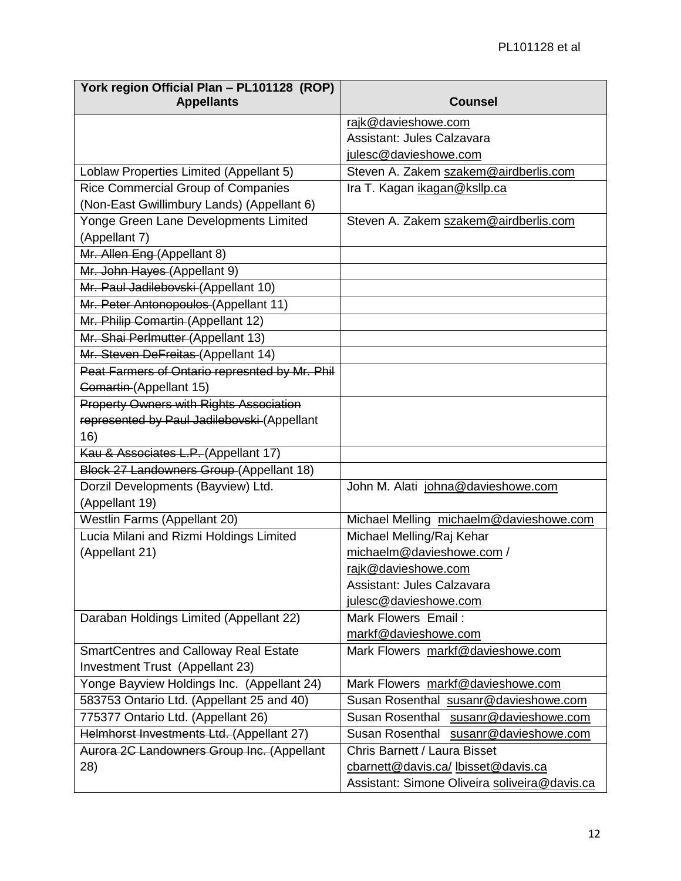| York region Official Plan - PL101128 (ROP)<br><b>Appellants</b> | <b>Counsel</b>                                |
|-----------------------------------------------------------------|-----------------------------------------------|
|                                                                 | rajk@davieshowe.com                           |
|                                                                 | Assistant: Jules Calzavara                    |
|                                                                 | julesc@davieshowe.com                         |
| Loblaw Properties Limited (Appellant 5)                         | Steven A. Zakem szakem@airdberlis.com         |
| Rice Commercial Group of Companies                              | Ira T. Kagan ikagan@ksllp.ca                  |
| (Non-East Gwillimbury Lands) (Appellant 6)                      |                                               |
| Yonge Green Lane Developments Limited                           | Steven A. Zakem szakem@airdberlis.com         |
| (Appellant 7)                                                   |                                               |
| Mr. Allen Eng (Appellant 8)                                     |                                               |
| Mr. John Hayes (Appellant 9)                                    |                                               |
| Mr. Paul Jadilebovski (Appellant 10)                            |                                               |
| Mr. Peter Antonopoulos (Appellant 11)                           |                                               |
| Mr. Philip Comartin (Appellant 12)                              |                                               |
| Mr. Shai Perlmutter (Appellant 13)                              |                                               |
| Mr. Steven DeFreitas (Appellant 14)                             |                                               |
| Peat Farmers of Ontario represnted by Mr. Phil                  |                                               |
| Comartin (Appellant 15)                                         |                                               |
| <b>Property Owners with Rights Association</b>                  |                                               |
| represented by Paul Jadilebovski (Appellant                     |                                               |
| 16)                                                             |                                               |
| Kau & Associates L.P. (Appellant 17)                            |                                               |
| Block 27 Landowners Group (Appellant 18)                        |                                               |
| Dorzil Developments (Bayview) Ltd.                              | John M. Alati johna@davieshowe.com            |
| (Appellant 19)                                                  |                                               |
| Westlin Farms (Appellant 20)                                    | Michael Melling michaelm@davieshowe.com       |
| Lucia Milani and Rizmi Holdings Limited                         | Michael Melling/Raj Kehar                     |
| (Appellant 21)                                                  | michaelm@davieshowe.com /                     |
|                                                                 | rajk@davieshowe.com                           |
|                                                                 | Assistant: Jules Calzavara                    |
|                                                                 | julesc@davieshowe.com                         |
| Daraban Holdings Limited (Appellant 22)                         | Mark Flowers Email:                           |
|                                                                 | markf@davieshowe.com                          |
| <b>SmartCentres and Calloway Real Estate</b>                    | Mark Flowers markf@davieshowe.com             |
| Investment Trust (Appellant 23)                                 |                                               |
| Yonge Bayview Holdings Inc. (Appellant 24)                      | Mark Flowers markf@davieshowe.com             |
| 583753 Ontario Ltd. (Appellant 25 and 40)                       | Susan Rosenthal susanr@davieshowe.com         |
| 775377 Ontario Ltd. (Appellant 26)                              | Susan Rosenthal susanr@davieshowe.com         |
| Helmhorst Investments Ltd. (Appellant 27)                       | Susan Rosenthal susanr@davieshowe.com         |
| Aurora 2C Landowners Group Inc. (Appellant                      | Chris Barnett / Laura Bisset                  |
| 28)                                                             | cbarnett@davis.ca/lbisset@davis.ca            |
|                                                                 | Assistant: Simone Oliveira soliveira@davis.ca |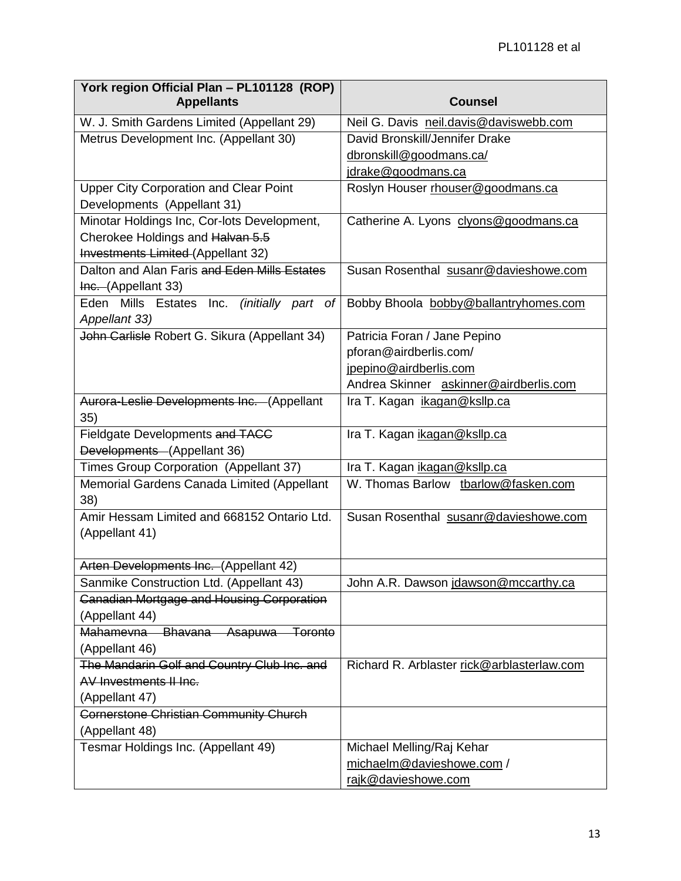| York region Official Plan - PL101128 (ROP)<br><b>Appellants</b> | <b>Counsel</b>                             |
|-----------------------------------------------------------------|--------------------------------------------|
|                                                                 |                                            |
| W. J. Smith Gardens Limited (Appellant 29)                      | Neil G. Davis neil.davis@daviswebb.com     |
| Metrus Development Inc. (Appellant 30)                          | David Bronskill/Jennifer Drake             |
|                                                                 | dbronskill@goodmans.ca/                    |
|                                                                 | jdrake@goodmans.ca                         |
| <b>Upper City Corporation and Clear Point</b>                   | Roslyn Houser rhouser@goodmans.ca          |
| Developments (Appellant 31)                                     |                                            |
| Minotar Holdings Inc, Cor-lots Development,                     | Catherine A. Lyons clyons@goodmans.ca      |
| Cherokee Holdings and Halvan 5.5                                |                                            |
| Investments Limited (Appellant 32)                              |                                            |
| Dalton and Alan Faris and Eden Mills Estates                    | Susan Rosenthal susanr@davieshowe.com      |
| Inc. (Appellant 33)                                             |                                            |
| Eden Mills Estates Inc. (initially part of<br>Appellant 33)     | Bobby Bhoola bobby@ballantryhomes.com      |
| John Carlisle Robert G. Sikura (Appellant 34)                   | Patricia Foran / Jane Pepino               |
|                                                                 | pforan@airdberlis.com/                     |
|                                                                 | jpepino@airdberlis.com                     |
|                                                                 | Andrea Skinner askinner@airdberlis.com     |
| Aurora-Leslie Developments Inc. (Appellant                      | Ira T. Kagan ikagan@ksllp.ca               |
| 35)                                                             |                                            |
| Fieldgate Developments and TACC                                 | Ira T. Kagan ikagan@ksllp.ca               |
| Developments (Appellant 36)                                     |                                            |
| Times Group Corporation (Appellant 37)                          | Ira T. Kagan ikagan@ksllp.ca               |
| Memorial Gardens Canada Limited (Appellant                      | W. Thomas Barlow tbarlow@fasken.com        |
| 38)                                                             |                                            |
| Amir Hessam Limited and 668152 Ontario Ltd.                     | Susan Rosenthal susanr@davieshowe.com      |
| (Appellant 41)                                                  |                                            |
|                                                                 |                                            |
| Arten Developments Inc. (Appellant 42)                          |                                            |
| Sanmike Construction Ltd. (Appellant 43)                        | John A.R. Dawson jdawson@mccarthy.ca       |
| <b>Canadian Mortgage and Housing Corporation</b>                |                                            |
| (Appellant 44)                                                  |                                            |
| Mahamevna Bhavana Asapuwa<br><b>Toronto</b>                     |                                            |
| (Appellant 46)                                                  |                                            |
| The Mandarin Golf and Country Club Inc. and                     | Richard R. Arblaster rick@arblasterlaw.com |
| AV Investments II Inc.                                          |                                            |
| (Appellant 47)                                                  |                                            |
| Cornerstone Christian Community Church                          |                                            |
| (Appellant 48)                                                  |                                            |
| Tesmar Holdings Inc. (Appellant 49)                             | Michael Melling/Raj Kehar                  |
|                                                                 | michaelm@davieshowe.com /                  |
|                                                                 | rajk@davieshowe.com                        |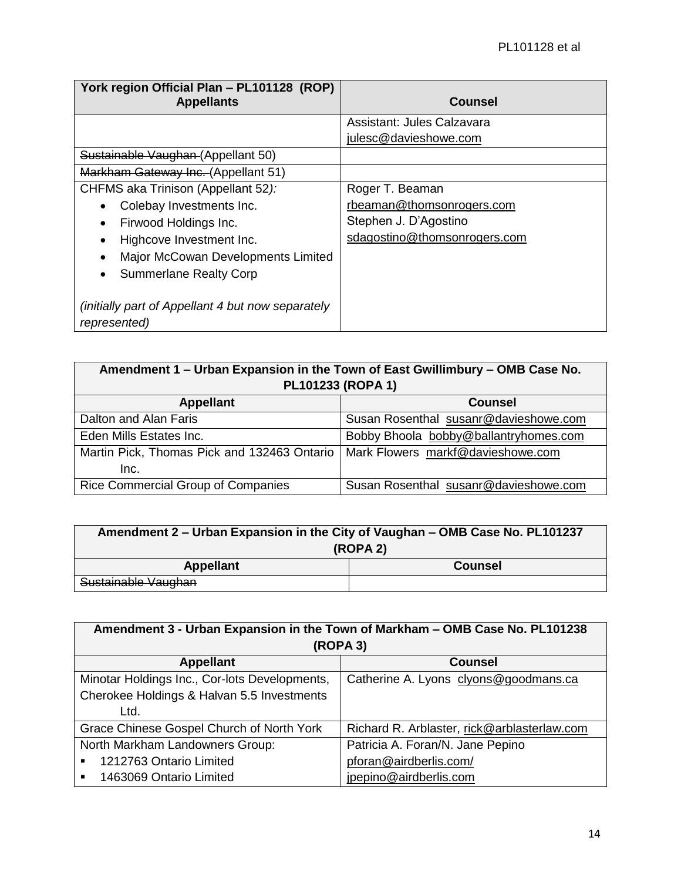| York region Official Plan - PL101128 (ROP)<br><b>Appellants</b>   | <b>Counsel</b>               |
|-------------------------------------------------------------------|------------------------------|
|                                                                   | Assistant: Jules Calzavara   |
|                                                                   | julesc@davieshowe.com        |
| Sustainable Vaughan (Appellant 50)                                |                              |
| Markham Gateway Inc. (Appellant 51)                               |                              |
| CHFMS aka Trinison (Appellant 52):                                | Roger T. Beaman              |
| Colebay Investments Inc.                                          | rbeaman@thomsonrogers.com    |
| Firwood Holdings Inc.                                             | Stephen J. D'Agostino        |
| Highcove Investment Inc.                                          | sdagostino@thomsonrogers.com |
| Major McCowan Developments Limited                                |                              |
| <b>Summerlane Realty Corp</b>                                     |                              |
| (initially part of Appellant 4 but now separately<br>represented) |                              |

| Amendment 1 – Urban Expansion in the Town of East Gwillimbury – OMB Case No.<br>PL101233 (ROPA 1) |                                       |  |
|---------------------------------------------------------------------------------------------------|---------------------------------------|--|
| <b>Appellant</b>                                                                                  | <b>Counsel</b>                        |  |
| Dalton and Alan Faris                                                                             | Susan Rosenthal susanr@davieshowe.com |  |
| Eden Mills Estates Inc.                                                                           | Bobby Bhoola bobby@ballantryhomes.com |  |
| Martin Pick, Thomas Pick and 132463 Ontario   Mark Flowers markf@davieshowe.com<br>Inc.           |                                       |  |
| Rice Commercial Group of Companies                                                                | Susan Rosenthal susanr@davieshowe.com |  |

| Amendment 2 - Urban Expansion in the City of Vaughan - OMB Case No. PL101237 |                |
|------------------------------------------------------------------------------|----------------|
| (ROPA 2)                                                                     |                |
| <b>Appellant</b>                                                             | <b>Counsel</b> |
| Sustainable Vaughan                                                          |                |

| Amendment 3 - Urban Expansion in the Town of Markham - OMB Case No. PL101238 |                                             |  |  |  |
|------------------------------------------------------------------------------|---------------------------------------------|--|--|--|
|                                                                              | (ROPA 3)                                    |  |  |  |
| <b>Appellant</b>                                                             | <b>Counsel</b>                              |  |  |  |
| Minotar Holdings Inc., Cor-lots Developments,                                | Catherine A. Lyons clyons@goodmans.ca       |  |  |  |
| Cherokee Holdings & Halvan 5.5 Investments                                   |                                             |  |  |  |
| Ltd.                                                                         |                                             |  |  |  |
| Grace Chinese Gospel Church of North York                                    | Richard R. Arblaster, rick@arblasterlaw.com |  |  |  |
| North Markham Landowners Group:                                              | Patricia A. Foran/N. Jane Pepino            |  |  |  |
| 1212763 Ontario Limited<br>$\blacksquare$                                    | pforan@airdberlis.com/                      |  |  |  |
| 1463069 Ontario Limited<br>$\blacksquare$                                    | jpepino@airdberlis.com                      |  |  |  |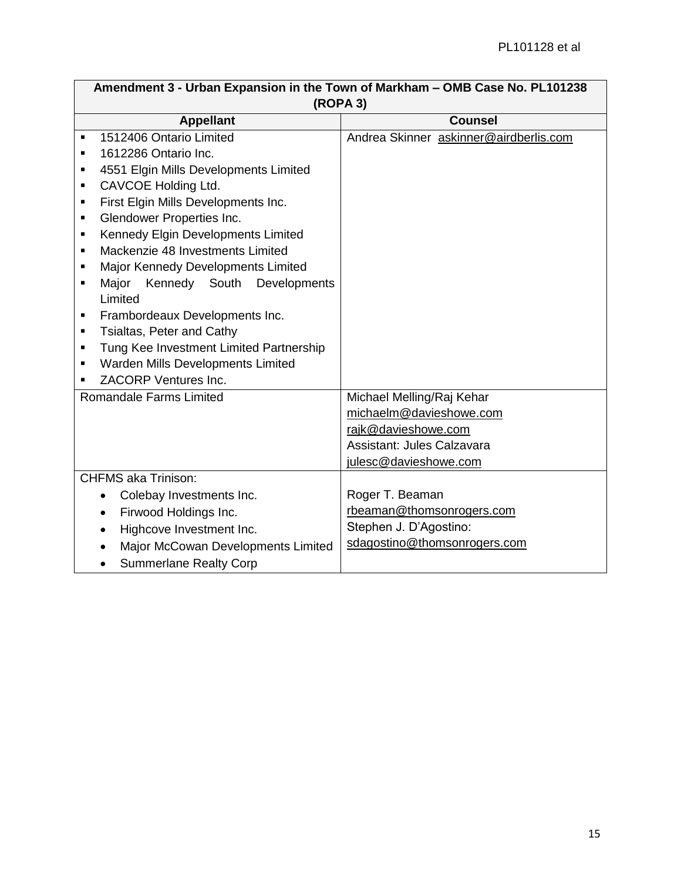| Amendment 3 - Urban Expansion in the Town of Markham – OMB Case No. PL101238 |                                        |  |  |  |
|------------------------------------------------------------------------------|----------------------------------------|--|--|--|
| (ROPA 3)                                                                     |                                        |  |  |  |
| <b>Appellant</b>                                                             | <b>Counsel</b>                         |  |  |  |
| 1512406 Ontario Limited<br>٠                                                 | Andrea Skinner askinner@airdberlis.com |  |  |  |
| 1612286 Ontario Inc.<br>$\blacksquare$                                       |                                        |  |  |  |
| 4551 Elgin Mills Developments Limited<br>$\blacksquare$                      |                                        |  |  |  |
| CAVCOE Holding Ltd.<br>$\blacksquare$                                        |                                        |  |  |  |
| First Elgin Mills Developments Inc.<br>$\blacksquare$                        |                                        |  |  |  |
| Glendower Properties Inc.<br>٠                                               |                                        |  |  |  |
| Kennedy Elgin Developments Limited<br>٠                                      |                                        |  |  |  |
| Mackenzie 48 Investments Limited<br>$\blacksquare$                           |                                        |  |  |  |
| Major Kennedy Developments Limited<br>$\blacksquare$                         |                                        |  |  |  |
| Major<br>Kennedy South<br>Developments<br>$\blacksquare$                     |                                        |  |  |  |
| Limited                                                                      |                                        |  |  |  |
| Frambordeaux Developments Inc.<br>$\blacksquare$                             |                                        |  |  |  |
| Tsialtas, Peter and Cathy<br>٠                                               |                                        |  |  |  |
| Tung Kee Investment Limited Partnership<br>$\blacksquare$                    |                                        |  |  |  |
| Warden Mills Developments Limited<br>$\blacksquare$                          |                                        |  |  |  |
| ZACORP Ventures Inc.                                                         |                                        |  |  |  |
| <b>Romandale Farms Limited</b>                                               | Michael Melling/Raj Kehar              |  |  |  |
|                                                                              | michaelm@davieshowe.com                |  |  |  |
|                                                                              | rajk@davieshowe.com                    |  |  |  |
|                                                                              | Assistant: Jules Calzavara             |  |  |  |
|                                                                              | julesc@davieshowe.com                  |  |  |  |
| <b>CHFMS aka Trinison:</b>                                                   |                                        |  |  |  |
| Colebay Investments Inc.<br>$\bullet$                                        | Roger T. Beaman                        |  |  |  |
| Firwood Holdings Inc.<br>$\bullet$                                           | rbeaman@thomsonrogers.com              |  |  |  |
| Highcove Investment Inc.                                                     | Stephen J. D'Agostino:                 |  |  |  |
| Major McCowan Developments Limited                                           | sdagostino@thomsonrogers.com           |  |  |  |
| <b>Summerlane Realty Corp</b>                                                |                                        |  |  |  |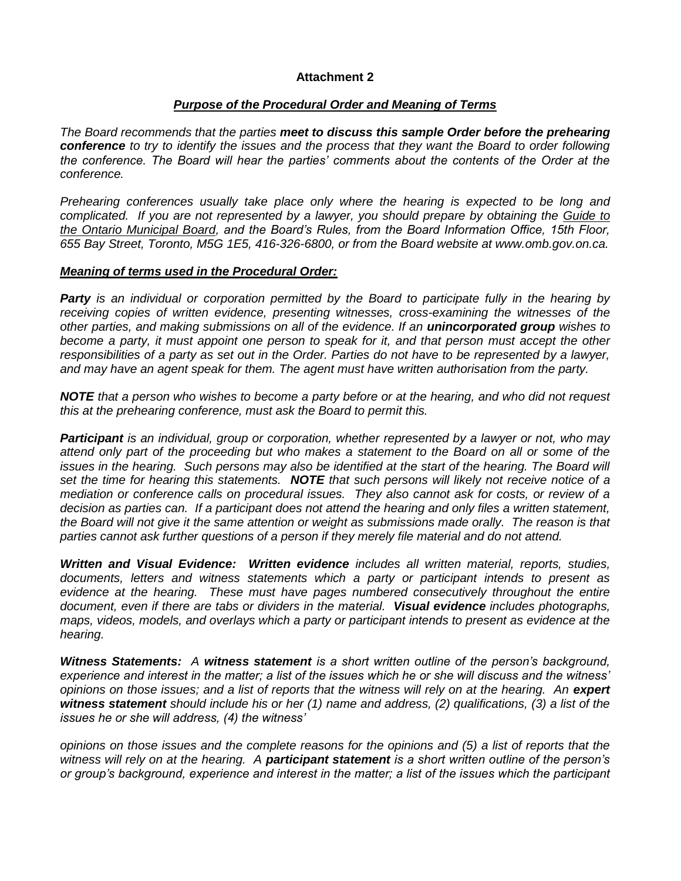## **Attachment 2**

## *Purpose of the Procedural Order and Meaning of Terms*

*The Board recommends that the parties meet to discuss this sample Order before the prehearing conference to try to identify the issues and the process that they want the Board to order following the conference. The Board will hear the parties' comments about the contents of the Order at the conference.*

*Prehearing conferences usually take place only where the hearing is expected to be long and complicated. If you are not represented by a lawyer, you should prepare by obtaining the Guide to the Ontario Municipal Board, and the Board's Rules, from the Board Information Office, 15th Floor, 655 Bay Street, Toronto, M5G 1E5, 416-326-6800, or from the Board website at www.omb.gov.on.ca.*

#### *Meaning of terms used in the Procedural Order:*

*Party is an individual or corporation permitted by the Board to participate fully in the hearing by receiving copies of written evidence, presenting witnesses, cross-examining the witnesses of the other parties, and making submissions on all of the evidence. If an unincorporated group wishes to*  become a party, it must appoint one person to speak for it, and that person must accept the other responsibilities of a party as set out in the Order. Parties do not have to be represented by a lawyer, *and may have an agent speak for them. The agent must have written authorisation from the party.*

*NOTE that a person who wishes to become a party before or at the hearing, and who did not request this at the prehearing conference, must ask the Board to permit this.*

*Participant is an individual, group or corporation, whether represented by a lawyer or not, who may attend only part of the proceeding but who makes a statement to the Board on all or some of the issues in the hearing. Such persons may also be identified at the start of the hearing. The Board will set the time for hearing this statements. NOTE that such persons will likely not receive notice of a mediation or conference calls on procedural issues. They also cannot ask for costs, or review of a decision as parties can. If a participant does not attend the hearing and only files a written statement, the Board will not give it the same attention or weight as submissions made orally. The reason is that parties cannot ask further questions of a person if they merely file material and do not attend.*

*Written and Visual Evidence: Written evidence includes all written material, reports, studies, documents, letters and witness statements which a party or participant intends to present as evidence at the hearing. These must have pages numbered consecutively throughout the entire document, even if there are tabs or dividers in the material. Visual evidence includes photographs, maps, videos, models, and overlays which a party or participant intends to present as evidence at the hearing.*

*Witness Statements: A witness statement is a short written outline of the person's background, experience and interest in the matter; a list of the issues which he or she will discuss and the witness' opinions on those issues; and a list of reports that the witness will rely on at the hearing. An expert witness statement should include his or her (1) name and address, (2) qualifications, (3) a list of the issues he or she will address, (4) the witness'* 

*opinions on those issues and the complete reasons for the opinions and (5) a list of reports that the witness will rely on at the hearing. A participant statement is a short written outline of the person's or group's background, experience and interest in the matter; a list of the issues which the participant*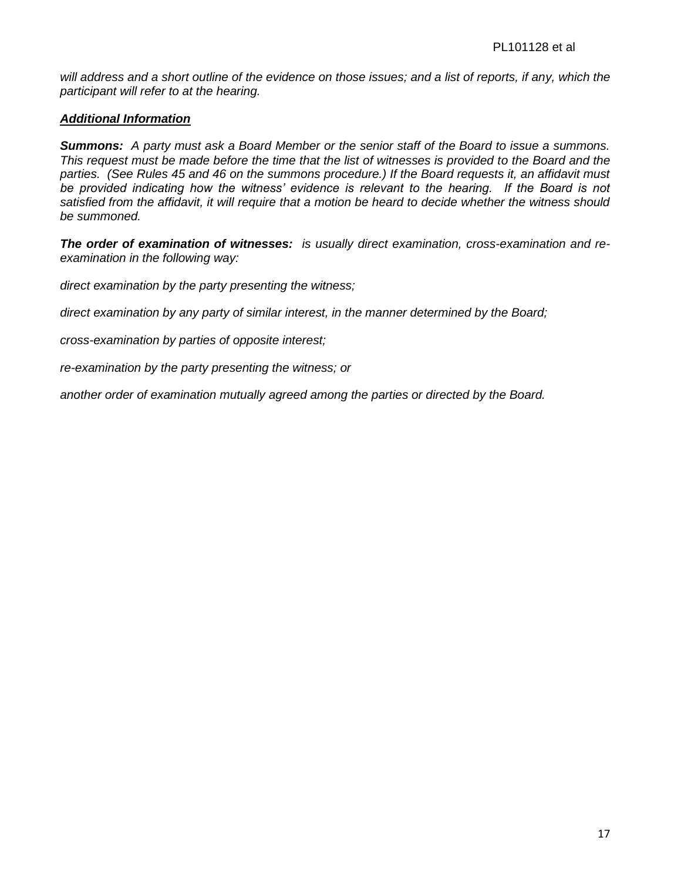*will address and a short outline of the evidence on those issues; and a list of reports, if any, which the participant will refer to at the hearing.*

## *Additional Information*

*Summons: A party must ask a Board Member or the senior staff of the Board to issue a summons. This request must be made before the time that the list of witnesses is provided to the Board and the parties. (See Rules 45 and 46 on the summons procedure.) If the Board requests it, an affidavit must*  be provided indicating how the witness' evidence is relevant to the hearing. If the Board is not *satisfied from the affidavit, it will require that a motion be heard to decide whether the witness should be summoned.*

*The order of examination of witnesses: is usually direct examination, cross-examination and reexamination in the following way:*

*direct examination by the party presenting the witness;*

*direct examination by any party of similar interest, in the manner determined by the Board;*

*cross-examination by parties of opposite interest;* 

*re-examination by the party presenting the witness; or* 

*another order of examination mutually agreed among the parties or directed by the Board.*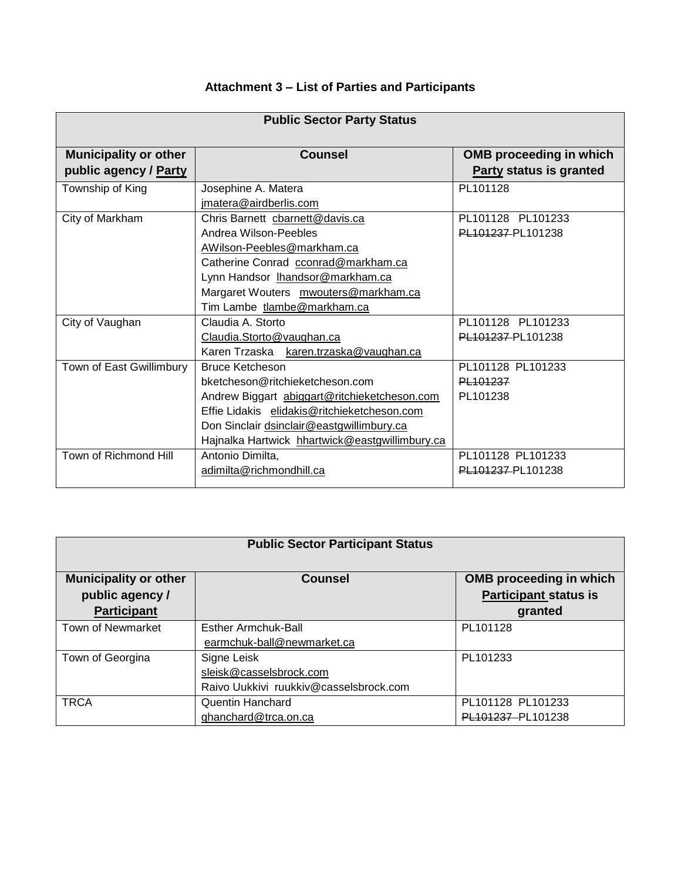## **Attachment 3 – List of Parties and Participants**

| <b>Public Sector Party Status</b>                     |                                                                                                                                                                                                                                                         |                                                                  |  |  |  |
|-------------------------------------------------------|---------------------------------------------------------------------------------------------------------------------------------------------------------------------------------------------------------------------------------------------------------|------------------------------------------------------------------|--|--|--|
| <b>Municipality or other</b><br>public agency / Party | <b>Counsel</b>                                                                                                                                                                                                                                          | <b>OMB</b> proceeding in which<br><b>Party status is granted</b> |  |  |  |
| Township of King                                      | Josephine A. Matera<br>jmatera@airdberlis.com                                                                                                                                                                                                           | PL101128                                                         |  |  |  |
| City of Markham                                       | Chris Barnett cbarnett@davis.ca<br>Andrea Wilson-Peebles<br>AWilson-Peebles@markham.ca<br>Catherine Conrad cconrad@markham.ca<br>Lynn Handsor Ihandsor@markham.ca<br>Margaret Wouters mwouters@markham.ca<br>Tim Lambe tlambe@markham.ca                | PL101128 PL101233<br>PL101237-PL101238                           |  |  |  |
| City of Vaughan                                       | Claudia A. Storto<br>Claudia.Storto@vaughan.ca<br>Karen Trzaska karen.trzaska@vaughan.ca                                                                                                                                                                | PL101128 PL101233<br>PL101237-PL101238                           |  |  |  |
| Town of East Gwillimbury                              | <b>Bruce Ketcheson</b><br>bketcheson@ritchieketcheson.com<br>Andrew Biggart abiggart@ritchieketcheson.com<br>Effie Lidakis elidakis@ritchieketcheson.com<br>Don Sinclair dsinclair@eastgwillimbury.ca<br>Hajnalka Hartwick hhartwick@eastgwillimbury.ca | PL101128 PL101233<br>PL 101237<br>PL101238                       |  |  |  |
| Town of Richmond Hill                                 | Antonio Dimilta,<br>adimilta@richmondhill.ca                                                                                                                                                                                                            | PL101128 PL101233<br>PL101237-PL101238                           |  |  |  |

| <b>Public Sector Participant Status</b> |                                        |                                |  |  |  |
|-----------------------------------------|----------------------------------------|--------------------------------|--|--|--|
| <b>Municipality or other</b>            | Counsel                                | <b>OMB</b> proceeding in which |  |  |  |
| public agency /                         |                                        | <b>Participant status is</b>   |  |  |  |
| <b>Participant</b>                      |                                        | granted                        |  |  |  |
| <b>Town of Newmarket</b>                | Esther Armchuk-Ball                    | PL101128                       |  |  |  |
|                                         | earmchuk-ball@newmarket.ca             |                                |  |  |  |
| Town of Georgina                        | Signe Leisk                            | PL101233                       |  |  |  |
|                                         | sleisk@casselsbrock.com                |                                |  |  |  |
|                                         | Raivo Uukkivi ruukkiv@casselsbrock.com |                                |  |  |  |
| <b>TRCA</b>                             | Quentin Hanchard                       | PL101128 PL101233              |  |  |  |
|                                         | qhanchard@trca.on.ca                   | PL101237-PL101238              |  |  |  |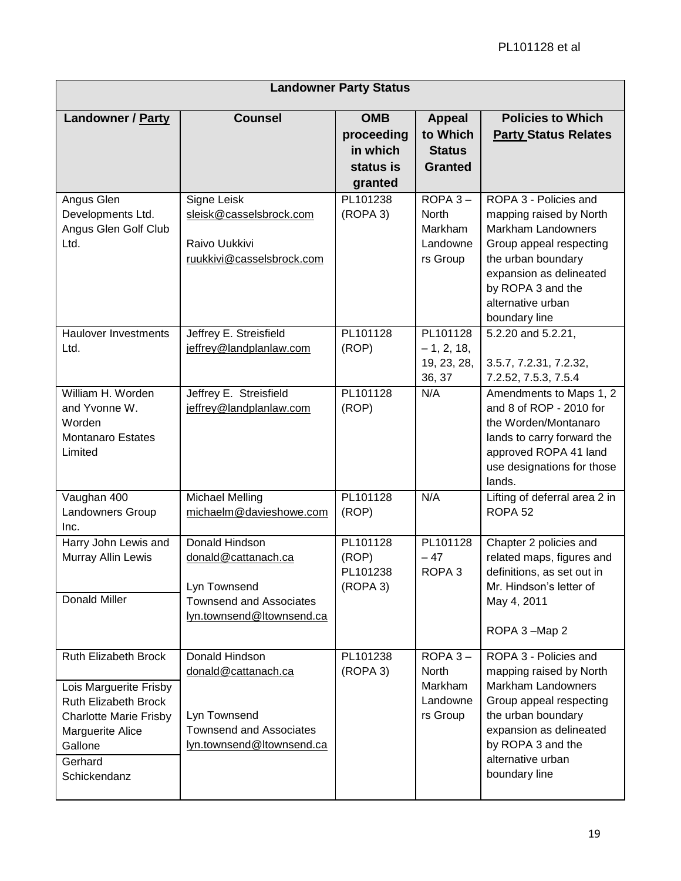| <b>Landowner Party Status</b>                                                                                                                                            |                                                                                                                      |                                                              |                                                              |                                                                                                                                                                                                                      |
|--------------------------------------------------------------------------------------------------------------------------------------------------------------------------|----------------------------------------------------------------------------------------------------------------------|--------------------------------------------------------------|--------------------------------------------------------------|----------------------------------------------------------------------------------------------------------------------------------------------------------------------------------------------------------------------|
| Landowner / Party                                                                                                                                                        | <b>Counsel</b>                                                                                                       | <b>OMB</b><br>proceeding<br>in which<br>status is<br>granted | <b>Appeal</b><br>to Which<br><b>Status</b><br><b>Granted</b> | <b>Policies to Which</b><br><b>Party Status Relates</b>                                                                                                                                                              |
| Angus Glen<br>Developments Ltd.<br>Angus Glen Golf Club<br>Ltd.                                                                                                          | Signe Leisk<br>sleisk@casselsbrock.com<br>Raivo Uukkivi<br>ruukkivi@casselsbrock.com                                 | PL101238<br>(ROPA 3)                                         | $ROPA3 -$<br>North<br>Markham<br>Landowne<br>rs Group        | ROPA 3 - Policies and<br>mapping raised by North<br>Markham Landowners<br>Group appeal respecting<br>the urban boundary<br>expansion as delineated<br>by ROPA 3 and the<br>alternative urban<br>boundary line        |
| <b>Haulover Investments</b><br>Ltd.                                                                                                                                      | Jeffrey E. Streisfield<br>jeffrey@landplanlaw.com                                                                    | PL101128<br>(ROP)                                            | PL101128<br>$-1, 2, 18,$<br>19, 23, 28,<br>36, 37            | 5.2.20 and 5.2.21,<br>3.5.7, 7.2.31, 7.2.32,<br>7.2.52, 7.5.3, 7.5.4                                                                                                                                                 |
| William H. Worden<br>and Yvonne W.<br>Worden<br><b>Montanaro Estates</b><br>Limited                                                                                      | Jeffrey E. Streisfield<br>jeffrey@landplanlaw.com                                                                    | PL101128<br>(ROP)                                            | N/A                                                          | Amendments to Maps 1, 2<br>and 8 of ROP - 2010 for<br>the Worden/Montanaro<br>lands to carry forward the<br>approved ROPA 41 land<br>use designations for those<br>lands.                                            |
| Vaughan 400<br>Landowners Group<br>Inc.                                                                                                                                  | <b>Michael Melling</b><br>michaelm@davieshowe.com                                                                    | PL101128<br>(ROP)                                            | N/A                                                          | Lifting of deferral area 2 in<br>ROPA <sub>52</sub>                                                                                                                                                                  |
| Harry John Lewis and<br>Murray Allin Lewis<br>Donald Miller                                                                                                              | Donald Hindson<br>donald@cattanach.ca<br>Lyn Townsend<br><b>Townsend and Associates</b>                              | PL101128<br>(ROP)<br>PL101238<br>(ROPA 3)                    | PL101128<br>$-47$<br>ROPA <sub>3</sub>                       | Chapter 2 policies and<br>related maps, figures and<br>definitions, as set out in<br>Mr. Hindson's letter of<br>May 4, 2011                                                                                          |
|                                                                                                                                                                          | lyn.townsend@ltownsend.ca                                                                                            |                                                              |                                                              | ROPA 3-Map 2                                                                                                                                                                                                         |
| Ruth Elizabeth Brock<br>Lois Marguerite Frisby<br>Ruth Elizabeth Brock<br><b>Charlotte Marie Frisby</b><br><b>Marguerite Alice</b><br>Gallone<br>Gerhard<br>Schickendanz | Donald Hindson<br>donald@cattanach.ca<br>Lyn Townsend<br><b>Townsend and Associates</b><br>lyn.townsend@ltownsend.ca | PL101238<br>(ROPA 3)                                         | $ROPA3 -$<br>North<br>Markham<br>Landowne<br>rs Group        | ROPA 3 - Policies and<br>mapping raised by North<br><b>Markham Landowners</b><br>Group appeal respecting<br>the urban boundary<br>expansion as delineated<br>by ROPA 3 and the<br>alternative urban<br>boundary line |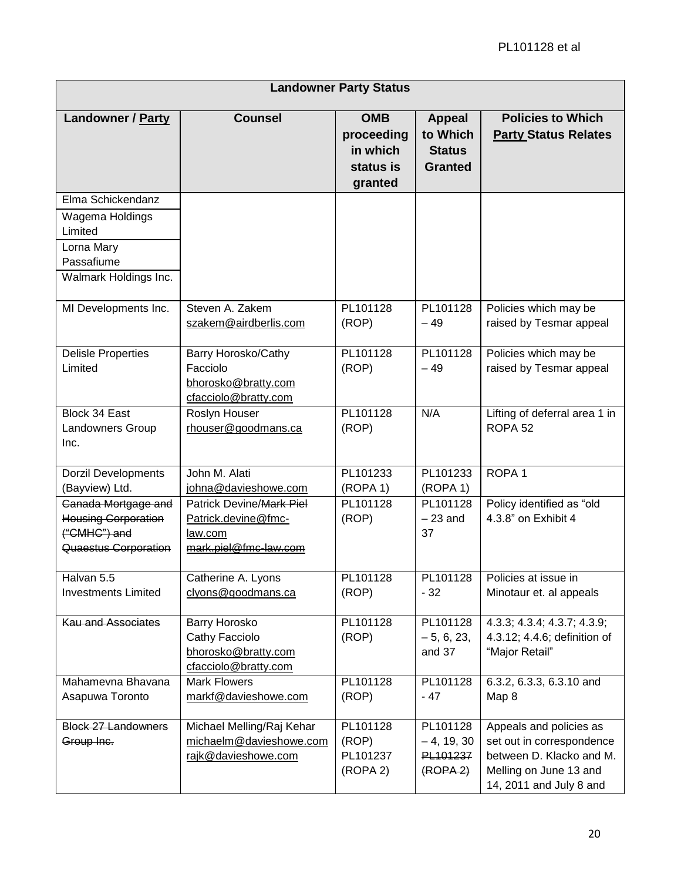|                                                                                                      |                                                                                     | <b>Landowner Party Status</b>                                |                                                              |                                                                                                                                       |
|------------------------------------------------------------------------------------------------------|-------------------------------------------------------------------------------------|--------------------------------------------------------------|--------------------------------------------------------------|---------------------------------------------------------------------------------------------------------------------------------------|
| Landowner / Party                                                                                    | <b>Counsel</b>                                                                      | <b>OMB</b><br>proceeding<br>in which<br>status is<br>granted | <b>Appeal</b><br>to Which<br><b>Status</b><br><b>Granted</b> | <b>Policies to Which</b><br><b>Party Status Relates</b>                                                                               |
| Elma Schickendanz<br>Wagema Holdings<br>Limited<br>Lorna Mary<br>Passafiume<br>Walmark Holdings Inc. |                                                                                     |                                                              |                                                              |                                                                                                                                       |
| MI Developments Inc.                                                                                 | Steven A. Zakem<br>szakem@airdberlis.com                                            | PL101128<br>(ROP)                                            | PL101128<br>$-49$                                            | Policies which may be<br>raised by Tesmar appeal                                                                                      |
| <b>Delisle Properties</b><br>Limited                                                                 | Barry Horosko/Cathy<br>Facciolo<br>bhorosko@bratty.com<br>cfacciolo@bratty.com      | PL101128<br>(ROP)                                            | PL101128<br>$-49$                                            | Policies which may be<br>raised by Tesmar appeal                                                                                      |
| Block 34 East<br>Landowners Group<br>Inc.                                                            | Roslyn Houser<br>rhouser@goodmans.ca                                                | PL101128<br>(ROP)                                            | N/A                                                          | Lifting of deferral area 1 in<br>ROPA <sub>52</sub>                                                                                   |
| <b>Dorzil Developments</b><br>(Bayview) Ltd.                                                         | John M. Alati<br>johna@davieshowe.com                                               | PL101233<br>(ROPA 1)                                         | PL101233<br>(ROPA 1)                                         | ROPA <sub>1</sub>                                                                                                                     |
| Canada Mortgage and<br><b>Housing Corporation</b><br>("CMHC") and<br>Quaestus Corporation            | Patrick Devine/Mark Piel<br>Patrick.devine@fmc-<br>law.com<br>mark.piel@fmc-law.com | PL101128<br>(ROP)                                            | PL101128<br>$-23$ and<br>37                                  | Policy identified as "old<br>4.3.8" on Exhibit 4                                                                                      |
| Halvan 5.5<br><b>Investments Limited</b>                                                             | Catherine A. Lyons<br>clyons@goodmans.ca                                            | PL101128<br>(ROP)                                            | PL101128<br>- 32                                             | Policies at issue in<br>Minotaur et. al appeals                                                                                       |
| <b>Kau and Associates</b>                                                                            | Barry Horosko<br>Cathy Facciolo<br>bhorosko@bratty.com<br>cfacciolo@bratty.com      | PL101128<br>(ROP)                                            | PL101128<br>$-5, 6, 23,$<br>and 37                           | 4.3.3; 4.3.4; 4.3.7; 4.3.9;<br>4.3.12; 4.4.6; definition of<br>"Major Retail"                                                         |
| Mahamevna Bhavana<br>Asapuwa Toronto                                                                 | <b>Mark Flowers</b><br>markf@davieshowe.com                                         | PL101128<br>(ROP)                                            | PL101128<br>$-47$                                            | 6.3.2, 6.3.3, 6.3.10 and<br>Map 8                                                                                                     |
| <b>Block 27 Landowners</b><br>Group Inc.                                                             | Michael Melling/Raj Kehar<br>michaelm@davieshowe.com<br>rajk@davieshowe.com         | PL101128<br>(ROP)<br>PL101237<br>(ROPA 2)                    | PL101128<br>$-4, 19, 30$<br>PL101237<br>(ROPA <sub>2</sub> ) | Appeals and policies as<br>set out in correspondence<br>between D. Klacko and M.<br>Melling on June 13 and<br>14, 2011 and July 8 and |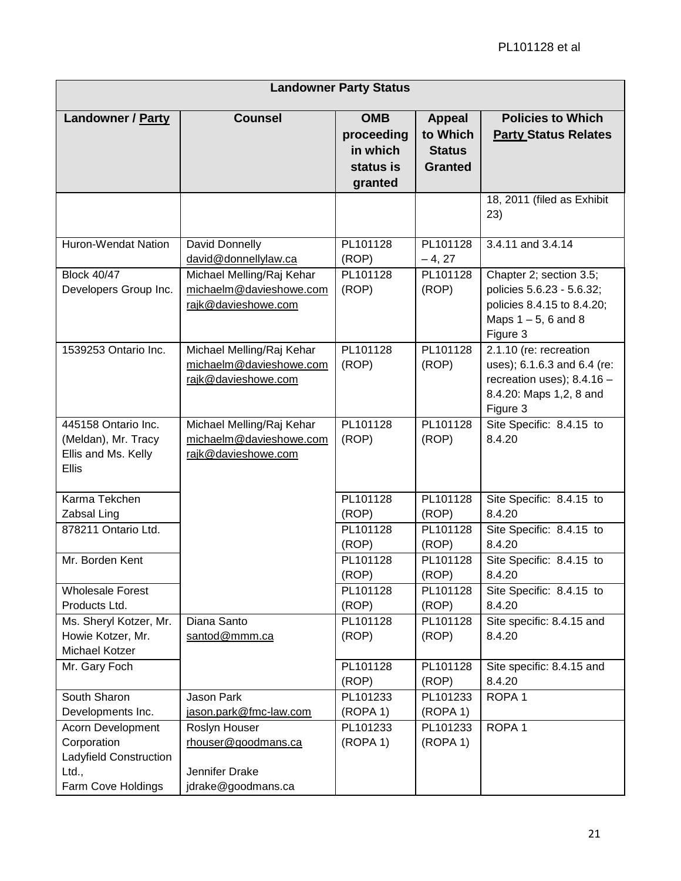| <b>Landowner Party Status</b>                                                             |                                                                              |                                                              |                                                              |                                                                                                                              |
|-------------------------------------------------------------------------------------------|------------------------------------------------------------------------------|--------------------------------------------------------------|--------------------------------------------------------------|------------------------------------------------------------------------------------------------------------------------------|
| Landowner / Party                                                                         | <b>Counsel</b>                                                               | <b>OMB</b><br>proceeding<br>in which<br>status is<br>granted | <b>Appeal</b><br>to Which<br><b>Status</b><br><b>Granted</b> | <b>Policies to Which</b><br><b>Party Status Relates</b>                                                                      |
|                                                                                           |                                                                              |                                                              |                                                              | 18, 2011 (filed as Exhibit<br>23)                                                                                            |
| Huron-Wendat Nation                                                                       | David Donnelly<br>david@donnellylaw.ca                                       | PL101128<br>(ROP)                                            | PL101128<br>$-4, 27$                                         | 3.4.11 and 3.4.14                                                                                                            |
| <b>Block 40/47</b><br>Developers Group Inc.                                               | Michael Melling/Raj Kehar<br>michaelm@davieshowe.com<br>rajk@davieshowe.com  | PL101128<br>(ROP)                                            | PL101128<br>(ROP)                                            | Chapter 2; section 3.5;<br>policies 5.6.23 - 5.6.32;<br>policies 8.4.15 to 8.4.20;<br>Maps $1 - 5$ , 6 and 8<br>Figure 3     |
| 1539253 Ontario Inc.                                                                      | Michael Melling/Raj Kehar<br>michaelm@davieshowe.com<br>rajk@davieshowe.com  | PL101128<br>(ROP)                                            | PL101128<br>(ROP)                                            | 2.1.10 (re: recreation<br>uses); 6.1.6.3 and 6.4 (re:<br>recreation uses); $8.4.16 -$<br>8.4.20: Maps 1,2, 8 and<br>Figure 3 |
| 445158 Ontario Inc.<br>(Meldan), Mr. Tracy<br>Ellis and Ms. Kelly<br>Ellis                | Michael Melling/Raj Kehar<br>michaelm@davieshowe.com<br>rajk@davieshowe.com  | PL101128<br>(ROP)                                            | PL101128<br>(ROP)                                            | Site Specific: 8.4.15 to<br>8.4.20                                                                                           |
| Karma Tekchen<br>Zabsal Ling                                                              |                                                                              | PL101128<br>(ROP)                                            | PL101128<br>(ROP)                                            | Site Specific: 8.4.15 to<br>8.4.20                                                                                           |
| 878211 Ontario Ltd.                                                                       |                                                                              | PL101128<br>(ROP)                                            | PL101128<br>(ROP)                                            | Site Specific: 8.4.15 to<br>8.4.20                                                                                           |
| Mr. Borden Kent                                                                           |                                                                              | PL101128<br>(ROP)                                            | PL101128<br>(ROP)                                            | Site Specific: 8.4.15 to<br>8.4.20                                                                                           |
| <b>Wholesale Forest</b><br>Products Ltd.                                                  |                                                                              | PL101128<br>(ROP)                                            | PL101128<br>(ROP)                                            | Site Specific: 8.4.15 to<br>8.4.20                                                                                           |
| Ms. Sheryl Kotzer, Mr.<br>Howie Kotzer, Mr.<br>Michael Kotzer                             | Diana Santo<br>santod@mmm.ca                                                 | PL101128<br>(ROP)                                            | PL101128<br>(ROP)                                            | Site specific: 8.4.15 and<br>8.4.20                                                                                          |
| Mr. Gary Foch                                                                             |                                                                              | PL101128<br>(ROP)                                            | PL101128<br>(ROP)                                            | Site specific: 8.4.15 and<br>8.4.20                                                                                          |
| South Sharon<br>Developments Inc.                                                         | Jason Park<br>jason.park@fmc-law.com                                         | PL101233<br>(ROPA 1)                                         | PL101233<br>(ROPA 1)                                         | ROPA <sub>1</sub>                                                                                                            |
| Acorn Development<br>Corporation<br>Ladyfield Construction<br>Ltd.,<br>Farm Cove Holdings | Roslyn Houser<br>rhouser@goodmans.ca<br>Jennifer Drake<br>jdrake@goodmans.ca | PL101233<br>(ROPA 1)                                         | PL101233<br>(ROPA 1)                                         | ROPA <sub>1</sub>                                                                                                            |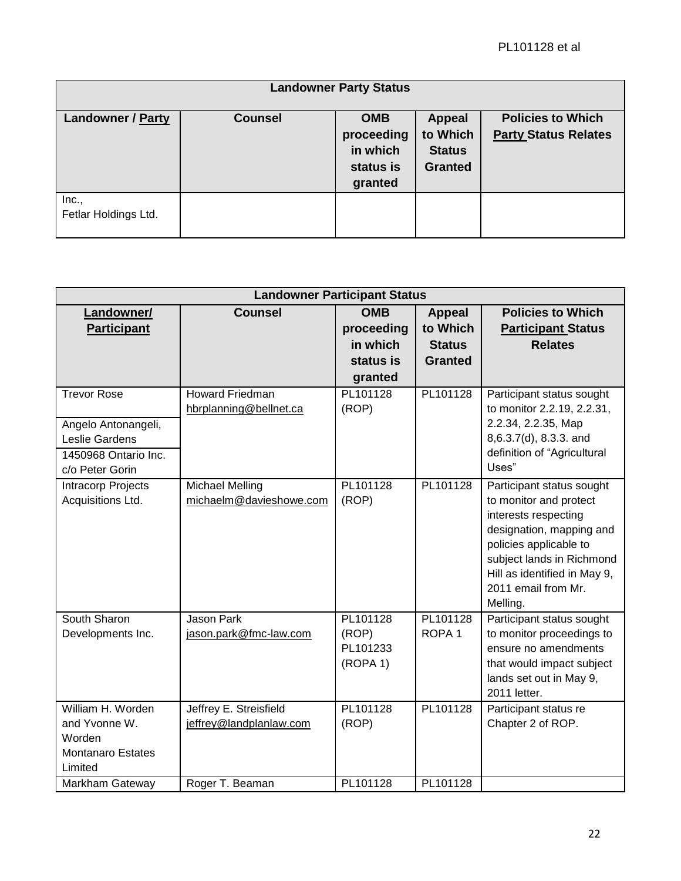|                               |                | <b>Landowner Party Status</b>                                |                                                              |                                                         |
|-------------------------------|----------------|--------------------------------------------------------------|--------------------------------------------------------------|---------------------------------------------------------|
| <b>Landowner / Party</b>      | <b>Counsel</b> | <b>OMB</b><br>proceeding<br>in which<br>status is<br>granted | <b>Appeal</b><br>to Which<br><b>Status</b><br><b>Granted</b> | <b>Policies to Which</b><br><b>Party Status Relates</b> |
| Inc.,<br>Fetlar Holdings Ltd. |                |                                                              |                                                              |                                                         |

|                          | <b>Landowner Participant Status</b>              |                   |                   |                                                         |  |
|--------------------------|--------------------------------------------------|-------------------|-------------------|---------------------------------------------------------|--|
| Landowner/               | <b>Counsel</b>                                   | <b>OMB</b>        | <b>Appeal</b>     | <b>Policies to Which</b>                                |  |
| <b>Participant</b>       |                                                  | proceeding        | to Which          | <b>Participant Status</b>                               |  |
|                          |                                                  | in which          | <b>Status</b>     | <b>Relates</b>                                          |  |
|                          |                                                  | status is         | <b>Granted</b>    |                                                         |  |
|                          |                                                  | granted           |                   |                                                         |  |
| <b>Trevor Rose</b>       | <b>Howard Friedman</b><br>hbrplanning@bellnet.ca | PL101128<br>(ROP) | PL101128          | Participant status sought<br>to monitor 2.2.19, 2.2.31, |  |
| Angelo Antonangeli,      |                                                  |                   |                   | 2.2.34, 2.2.35, Map                                     |  |
| Leslie Gardens           |                                                  |                   |                   | 8,6.3.7(d), 8.3.3. and                                  |  |
| 1450968 Ontario Inc.     |                                                  |                   |                   | definition of "Agricultural                             |  |
| c/o Peter Gorin          |                                                  |                   |                   | Uses"                                                   |  |
| Intracorp Projects       | <b>Michael Melling</b>                           | PL101128          | PL101128          | Participant status sought                               |  |
| Acquisitions Ltd.        | michaelm@davieshowe.com                          | (ROP)             |                   | to monitor and protect                                  |  |
|                          |                                                  |                   |                   | interests respecting<br>designation, mapping and        |  |
|                          |                                                  |                   |                   | policies applicable to                                  |  |
|                          |                                                  |                   |                   | subject lands in Richmond                               |  |
|                          |                                                  |                   |                   | Hill as identified in May 9,                            |  |
|                          |                                                  |                   |                   | 2011 email from Mr.                                     |  |
|                          |                                                  |                   |                   | Melling.                                                |  |
| South Sharon             | <b>Jason Park</b>                                | PL101128          | PL101128          | Participant status sought                               |  |
| Developments Inc.        | jason.park@fmc-law.com                           | (ROP)             | ROPA <sub>1</sub> | to monitor proceedings to                               |  |
|                          |                                                  | PL101233          |                   | ensure no amendments                                    |  |
|                          |                                                  | (ROPA 1)          |                   | that would impact subject<br>lands set out in May 9,    |  |
|                          |                                                  |                   |                   | 2011 letter.                                            |  |
| William H. Worden        | Jeffrey E. Streisfield                           | PL101128          | PL101128          | Participant status re                                   |  |
| and Yvonne W.            | jeffrey@landplanlaw.com                          | (ROP)             |                   | Chapter 2 of ROP.                                       |  |
| Worden                   |                                                  |                   |                   |                                                         |  |
| <b>Montanaro Estates</b> |                                                  |                   |                   |                                                         |  |
| Limited                  |                                                  |                   |                   |                                                         |  |
| <b>Markham Gateway</b>   | Roger T. Beaman                                  | PL101128          | PL101128          |                                                         |  |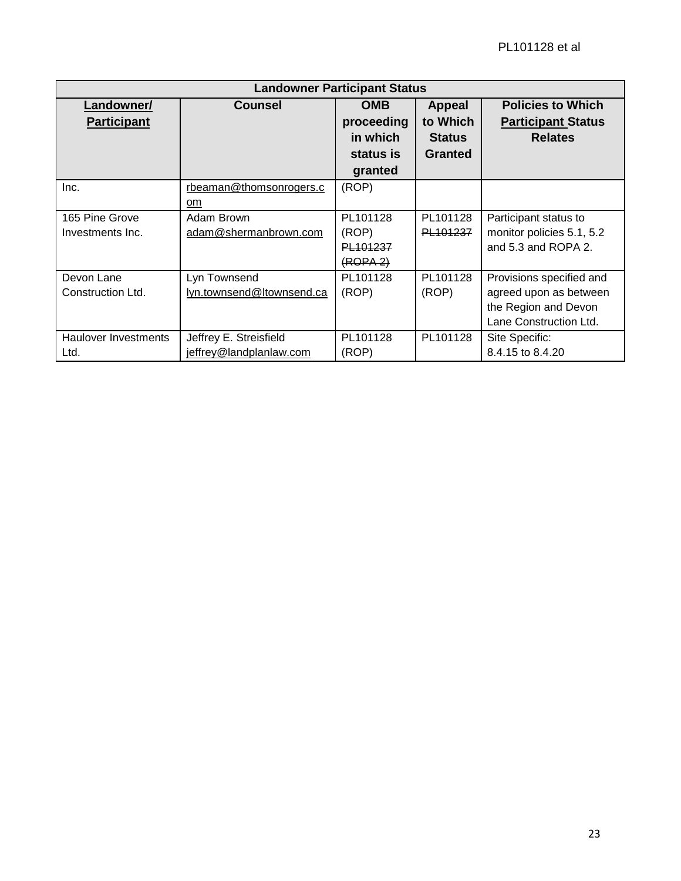| <b>Landowner Participant Status</b> |                           |                      |                |                           |
|-------------------------------------|---------------------------|----------------------|----------------|---------------------------|
| Landowner/                          | <b>Counsel</b>            | <b>OMB</b>           | <b>Appeal</b>  | <b>Policies to Which</b>  |
| <b>Participant</b>                  |                           | proceeding           | to Which       | <b>Participant Status</b> |
|                                     |                           | in which             | <b>Status</b>  | <b>Relates</b>            |
|                                     |                           | status is            | <b>Granted</b> |                           |
|                                     |                           | granted              |                |                           |
| Inc.                                | rbeaman@thomsonrogers.c   | (ROP)                |                |                           |
|                                     | om                        |                      |                |                           |
| 165 Pine Grove                      | Adam Brown                | PL101128             | PL101128       | Participant status to     |
| Investments Inc.                    | adam@shermanbrown.com     | (ROP)                | PL101237       | monitor policies 5.1, 5.2 |
|                                     |                           | PL101237             |                | and 5.3 and ROPA 2.       |
|                                     |                           | (ROPA <sub>2</sub> ) |                |                           |
| Devon Lane                          | Lyn Townsend              | PL101128             | PL101128       | Provisions specified and  |
| Construction Ltd.                   | lyn.townsend@ltownsend.ca | (ROP)                | (ROP)          | agreed upon as between    |
|                                     |                           |                      |                | the Region and Devon      |
|                                     |                           |                      |                | Lane Construction Ltd.    |
| Haulover Investments                | Jeffrey E. Streisfield    | PL101128             | PL101128       | Site Specific:            |
| Ltd.                                | jeffrey@landplanlaw.com   | (ROP)                |                | 8.4.15 to 8.4.20          |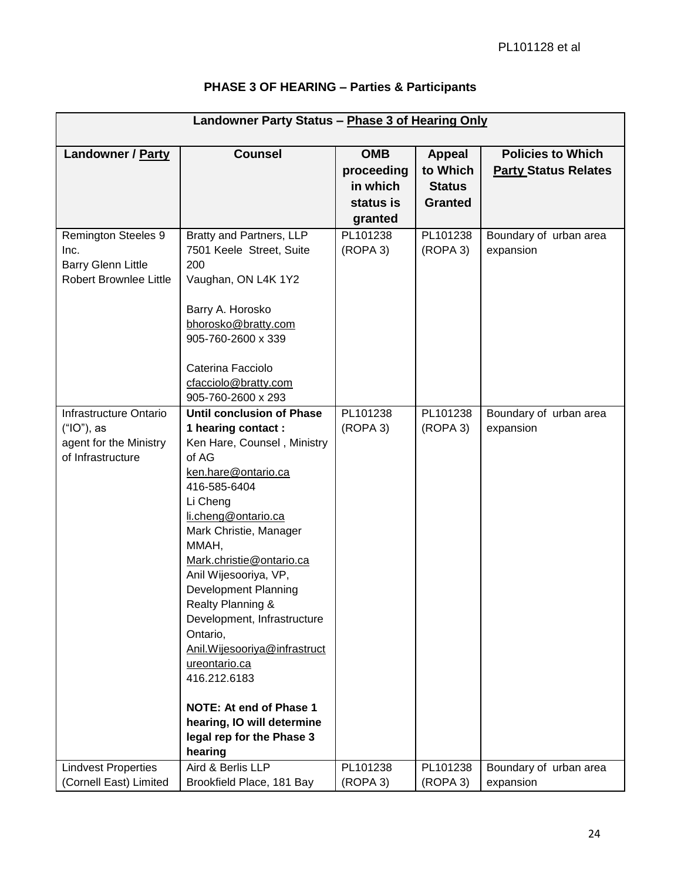| Landowner Party Status - Phase 3 of Hearing Only                                                 |                                                                                                                                                                                                                                                                                                                                                                                                                                                                                                                             |                                                              |                                                              |                                                         |
|--------------------------------------------------------------------------------------------------|-----------------------------------------------------------------------------------------------------------------------------------------------------------------------------------------------------------------------------------------------------------------------------------------------------------------------------------------------------------------------------------------------------------------------------------------------------------------------------------------------------------------------------|--------------------------------------------------------------|--------------------------------------------------------------|---------------------------------------------------------|
| Landowner / Party                                                                                | <b>Counsel</b>                                                                                                                                                                                                                                                                                                                                                                                                                                                                                                              | <b>OMB</b><br>proceeding<br>in which<br>status is<br>granted | <b>Appeal</b><br>to Which<br><b>Status</b><br><b>Granted</b> | <b>Policies to Which</b><br><b>Party Status Relates</b> |
| <b>Remington Steeles 9</b><br>Inc.<br><b>Barry Glenn Little</b><br><b>Robert Brownlee Little</b> | Bratty and Partners, LLP<br>7501 Keele Street, Suite<br>200<br>Vaughan, ON L4K 1Y2<br>Barry A. Horosko<br>bhorosko@bratty.com<br>905-760-2600 x 339<br>Caterina Facciolo<br>cfacciolo@bratty.com<br>905-760-2600 x 293                                                                                                                                                                                                                                                                                                      | PL101238<br>(ROPA 3)                                         | PL101238<br>(ROPA 3)                                         | Boundary of urban area<br>expansion                     |
| Infrastructure Ontario<br>$("IO")$ , as<br>agent for the Ministry<br>of Infrastructure           | <b>Until conclusion of Phase</b><br>1 hearing contact:<br>Ken Hare, Counsel, Ministry<br>of AG<br>ken.hare@ontario.ca<br>416-585-6404<br>Li Cheng<br>li.cheng@ontario.ca<br>Mark Christie, Manager<br>MMAH,<br>Mark.christie@ontario.ca<br>Anil Wijesooriya, VP,<br>Development Planning<br>Realty Planning &<br>Development, Infrastructure<br>Ontario,<br>Anil. Wijesooriya@infrastruct<br>ureontario.ca<br>416.212.6183<br>NOTE: At end of Phase 1<br>hearing, IO will determine<br>legal rep for the Phase 3<br>hearing | PL101238<br>(ROPA 3)                                         | PL101238<br>(ROPA 3)                                         | Boundary of urban area<br>expansion                     |
| <b>Lindvest Properties</b><br>(Cornell East) Limited                                             | Aird & Berlis LLP<br>Brookfield Place, 181 Bay                                                                                                                                                                                                                                                                                                                                                                                                                                                                              | PL101238<br>(ROPA 3)                                         | PL101238<br>(ROPA 3)                                         | Boundary of urban area<br>expansion                     |

# **PHASE 3 OF HEARING – Parties & Participants**